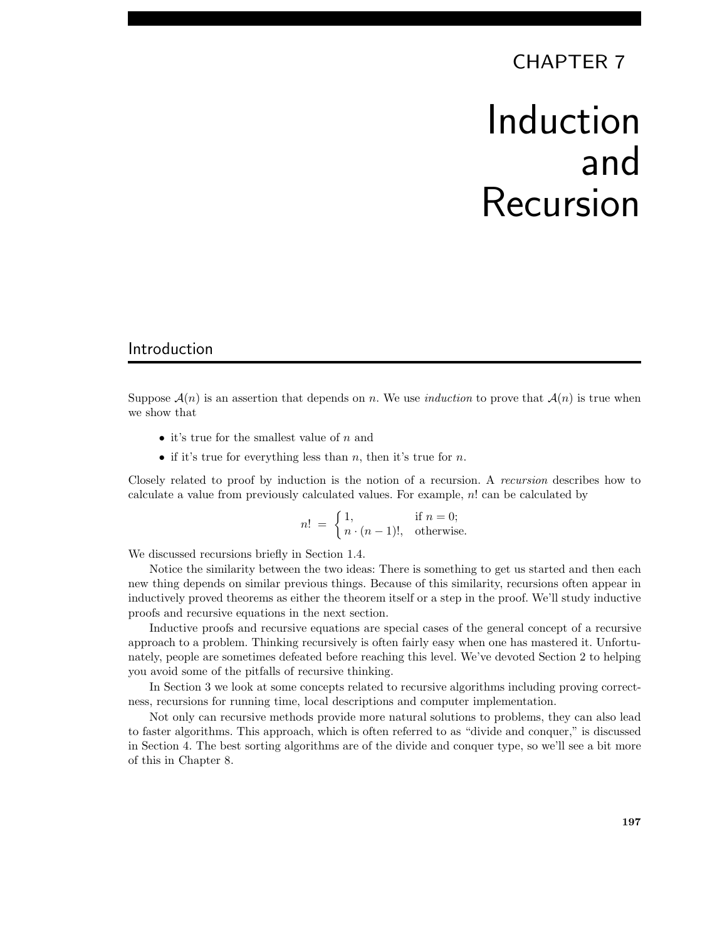# CHAPTER 7 Induction and Recursion

## Introduction

Suppose  $\mathcal{A}(n)$  is an assertion that depends on n. We use *induction* to prove that  $\mathcal{A}(n)$  is true when we show that

- it's true for the smallest value of  $n$  and
- if it's true for everything less than  $n$ , then it's true for  $n$ .

Closely related to proof by induction is the notion of a recursion. A recursion describes how to calculate a value from previously calculated values. For example, n! can be calculated by

$$
n! = \begin{cases} 1, & \text{if } n = 0; \\ n \cdot (n-1)!, & \text{otherwise.} \end{cases}
$$

We discussed recursions briefly in Section 1.4.

Notice the similarity between the two ideas: There is something to get us started and then each new thing depends on similar previous things. Because of this similarity, recursions often appear in inductively proved theorems as either the theorem itself or a step in the proof. We'll study inductive proofs and recursive equations in the next section.

Inductive proofs and recursive equations are special cases of the general concept of a recursive approach to a problem. Thinking recursively is often fairly easy when one has mastered it. Unfortunately, people are sometimes defeated before reaching this level. We've devoted Section 2 to helping you avoid some of the pitfalls of recursive thinking.

In Section 3 we look at some concepts related to recursive algorithms including proving correctness, recursions for running time, local descriptions and computer implementation.

Not only can recursive methods provide more natural solutions to problems, they can also lead to faster algorithms. This approach, which is often referred to as "divide and conquer," is discussed in Section 4. The best sorting algorithms are of the divide and conquer type, so we'll see a bit more of this in Chapter 8.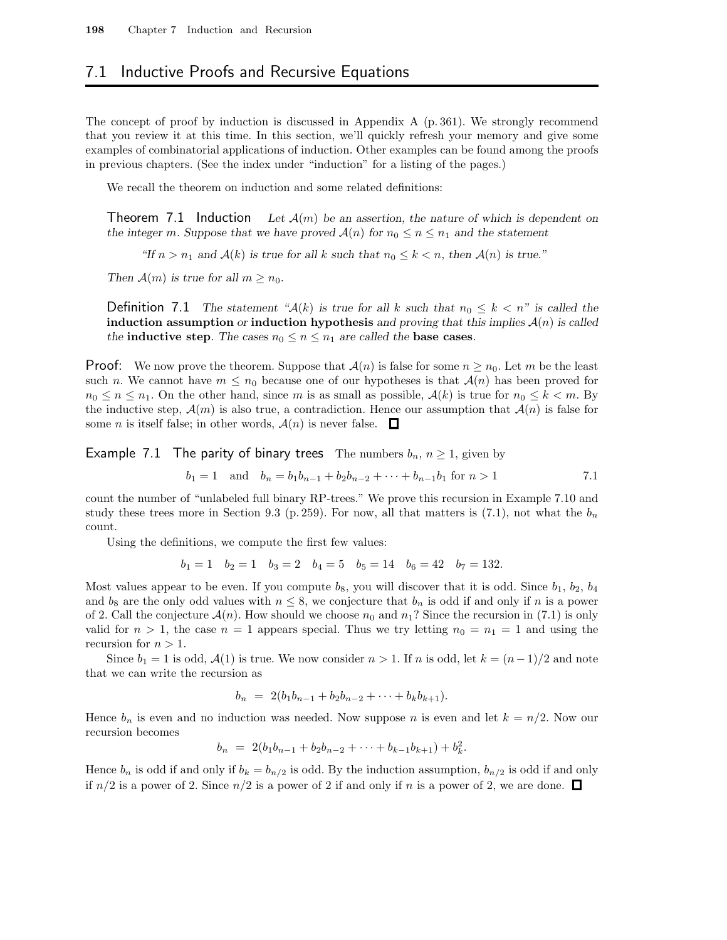# 7.1 Inductive Proofs and Recursive Equations

The concept of proof by induction is discussed in Appendix A (p. 361). We strongly recommend that you review it at this time. In this section, we'll quickly refresh your memory and give some examples of combinatorial applications of induction. Other examples can be found among the proofs in previous chapters. (See the index under "induction" for a listing of the pages.)

We recall the theorem on induction and some related definitions:

**Theorem 7.1 Induction** Let  $\mathcal{A}(m)$  be an assertion, the nature of which is dependent on the integer m. Suppose that we have proved  $\mathcal{A}(n)$  for  $n_0 \leq n \leq n_1$  and the statement

"If  $n > n_1$  and  $\mathcal{A}(k)$  is true for all k such that  $n_0 \leq k < n$ , then  $\mathcal{A}(n)$  is true."

Then  $\mathcal{A}(m)$  is true for all  $m \geq n_0$ .

**Definition** 7.1 The statement " $A(k)$  is true for all k such that  $n_0 \leq k \leq n$ " is called the induction assumption or induction hypothesis and proving that this implies  $\mathcal{A}(n)$  is called the inductive step. The cases  $n_0 \leq n \leq n_1$  are called the base cases.

**Proof:** We now prove the theorem. Suppose that  $\mathcal{A}(n)$  is false for some  $n \geq n_0$ . Let m be the least such n. We cannot have  $m \leq n_0$  because one of our hypotheses is that  $\mathcal{A}(n)$  has been proved for  $n_0 \leq n \leq n_1$ . On the other hand, since m is as small as possible,  $\mathcal{A}(k)$  is true for  $n_0 \leq k < m$ . By the inductive step,  $\mathcal{A}(m)$  is also true, a contradiction. Hence our assumption that  $\mathcal{A}(n)$  is false for some *n* is itself false; in other words,  $\mathcal{A}(n)$  is never false.  $\Box$ 

Example 7.1 The parity of binary trees The numbers  $b_n$ ,  $n \ge 1$ , given by

$$
b_1 = 1 \quad \text{and} \quad b_n = b_1 b_{n-1} + b_2 b_{n-2} + \dots + b_{n-1} b_1 \text{ for } n > 1 \tag{7.1}
$$

count the number of "unlabeled full binary RP-trees." We prove this recursion in Example 7.10 and study these trees more in Section 9.3 (p. 259). For now, all that matters is (7.1), not what the  $b_n$ count.

Using the definitions, we compute the first few values:

$$
b_1 = 1
$$
  $b_2 = 1$   $b_3 = 2$   $b_4 = 5$   $b_5 = 14$   $b_6 = 42$   $b_7 = 132$ .

Most values appear to be even. If you compute  $b_8$ , you will discover that it is odd. Since  $b_1$ ,  $b_2$ ,  $b_4$ and  $b_8$  are the only odd values with  $n \leq 8$ , we conjecture that  $b_n$  is odd if and only if n is a power of 2. Call the conjecture  $\mathcal{A}(n)$ . How should we choose  $n_0$  and  $n_1$ ? Since the recursion in (7.1) is only valid for  $n > 1$ , the case  $n = 1$  appears special. Thus we try letting  $n_0 = n_1 = 1$  and using the recursion for  $n > 1$ .

Since  $b_1 = 1$  is odd,  $\mathcal{A}(1)$  is true. We now consider  $n > 1$ . If n is odd, let  $k = (n-1)/2$  and note that we can write the recursion as

$$
b_n = 2(b_1b_{n-1} + b_2b_{n-2} + \cdots + b_kb_{k+1}).
$$

Hence  $b_n$  is even and no induction was needed. Now suppose n is even and let  $k = n/2$ . Now our recursion becomes

$$
b_n = 2(b_1b_{n-1} + b_2b_{n-2} + \cdots + b_{k-1}b_{k+1}) + b_k^2.
$$

Hence  $b_n$  is odd if and only if  $b_k = b_{n/2}$  is odd. By the induction assumption,  $b_{n/2}$  is odd if and only if  $n/2$  is a power of 2. Since  $n/2$  is a power of 2 if and only if n is a power of 2, we are done.  $\Box$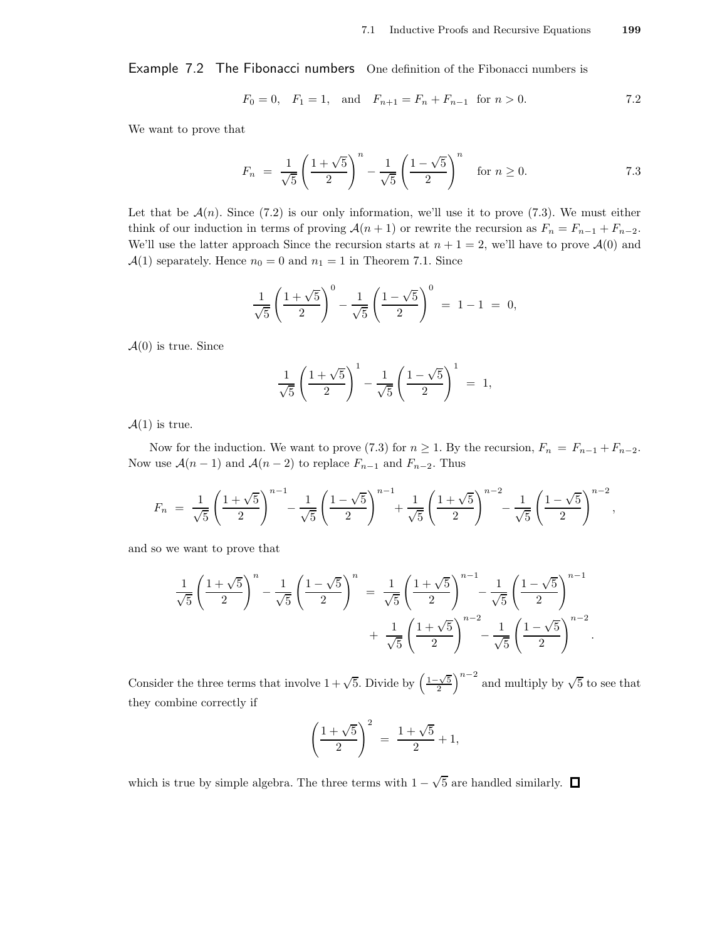Example 7.2 The Fibonacci numbers One definition of the Fibonacci numbers is

$$
F_0 = 0
$$
,  $F_1 = 1$ , and  $F_{n+1} = F_n + F_{n-1}$  for  $n > 0$ .

We want to prove that

$$
F_n = \frac{1}{\sqrt{5}} \left( \frac{1 + \sqrt{5}}{2} \right)^n - \frac{1}{\sqrt{5}} \left( \frac{1 - \sqrt{5}}{2} \right)^n \quad \text{for } n \ge 0.
$$
 (7.3)

Let that be  $\mathcal{A}(n)$ . Since (7.2) is our only information, we'll use it to prove (7.3). We must either think of our induction in terms of proving  $\mathcal{A}(n+1)$  or rewrite the recursion as  $F_n = F_{n-1} + F_{n-2}$ . We'll use the latter approach Since the recursion starts at  $n + 1 = 2$ , we'll have to prove  $\mathcal{A}(0)$  and  $\mathcal{A}(1)$  separately. Hence  $n_0 = 0$  and  $n_1 = 1$  in Theorem 7.1. Since

$$
\frac{1}{\sqrt{5}} \left( \frac{1+\sqrt{5}}{2} \right)^0 - \frac{1}{\sqrt{5}} \left( \frac{1-\sqrt{5}}{2} \right)^0 = 1 - 1 = 0,
$$

 $\mathcal{A}(0)$  is true. Since

$$
\frac{1}{\sqrt{5}} \left( \frac{1+\sqrt{5}}{2} \right)^1 - \frac{1}{\sqrt{5}} \left( \frac{1-\sqrt{5}}{2} \right)^1 = 1,
$$

 $\mathcal{A}(1)$  is true.

Now for the induction. We want to prove (7.3) for  $n \ge 1$ . By the recursion,  $F_n = F_{n-1} + F_{n-2}$ . Now use  $\mathcal{A}(n-1)$  and  $\mathcal{A}(n-2)$  to replace  $F_{n-1}$  and  $F_{n-2}$ . Thus

$$
F_n = \frac{1}{\sqrt{5}} \left( \frac{1+\sqrt{5}}{2} \right)^{n-1} - \frac{1}{\sqrt{5}} \left( \frac{1-\sqrt{5}}{2} \right)^{n-1} + \frac{1}{\sqrt{5}} \left( \frac{1+\sqrt{5}}{2} \right)^{n-2} - \frac{1}{\sqrt{5}} \left( \frac{1-\sqrt{5}}{2} \right)^{n-2},
$$

and so we want to prove that

$$
\frac{1}{\sqrt{5}} \left( \frac{1+\sqrt{5}}{2} \right)^n - \frac{1}{\sqrt{5}} \left( \frac{1-\sqrt{5}}{2} \right)^n = \frac{1}{\sqrt{5}} \left( \frac{1+\sqrt{5}}{2} \right)^{n-1} - \frac{1}{\sqrt{5}} \left( \frac{1-\sqrt{5}}{2} \right)^{n-1} + \frac{1}{\sqrt{5}} \left( \frac{1+\sqrt{5}}{2} \right)^{n-2} - \frac{1}{\sqrt{5}} \left( \frac{1-\sqrt{5}}{2} \right)^{n-2}.
$$

Consider the three terms that involve  $1+\sqrt{5}$ . Divide by  $\left(\frac{1-\sqrt{5}}{2}\right)^{n-2}$  and multiply by  $\sqrt{5}$  to see that they combine correctly if

$$
\left(\frac{1+\sqrt{5}}{2}\right)^2 = \frac{1+\sqrt{5}}{2} + 1,
$$

which is true by simple algebra. The three terms with  $1 - \sqrt{5}$  are handled similarly.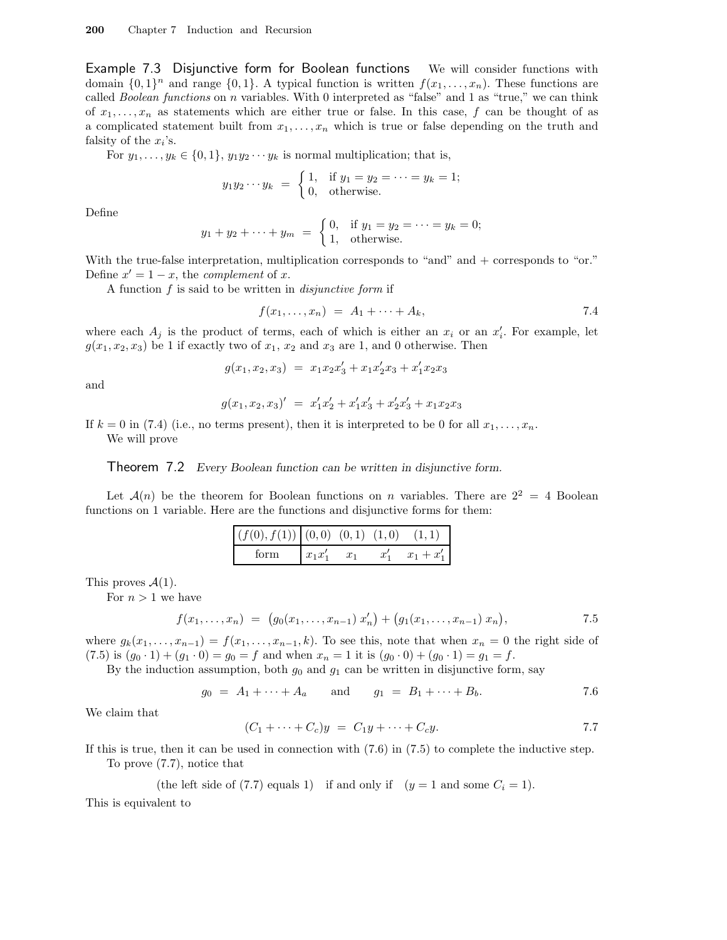Example 7.3 Disjunctive form for Boolean functions We will consider functions with domain  $\{0,1\}^n$  and range  $\{0,1\}$ . A typical function is written  $f(x_1, \ldots, x_n)$ . These functions are called Boolean functions on n variables. With 0 interpreted as "false" and 1 as "true," we can think of  $x_1, \ldots, x_n$  as statements which are either true or false. In this case, f can be thought of as a complicated statement built from  $x_1, \ldots, x_n$  which is true or false depending on the truth and falsity of the  $x_i$ 's.

For  $y_1, \ldots, y_k \in \{0, 1\}, y_1y_2 \cdots y_k$  is normal multiplication; that is,

$$
y_1 y_2 \cdots y_k = \begin{cases} 1, & \text{if } y_1 = y_2 = \cdots = y_k = 1; \\ 0, & \text{otherwise.} \end{cases}
$$

Define

$$
y_1 + y_2 + \cdots + y_m = \begin{cases} 0, & \text{if } y_1 = y_2 = \cdots = y_k = 0; \\ 1, & \text{otherwise.} \end{cases}
$$

With the true-false interpretation, multiplication corresponds to "and" and + corresponds to "or." Define  $x' = 1 - x$ , the *complement* of x.

A function  $f$  is said to be written in *disjunctive form* if

$$
f(x_1,...,x_n) = A_1 + \cdots + A_k, \qquad \qquad 7.4
$$

where each  $A_j$  is the product of terms, each of which is either an  $x_i$  or an  $x'_i$ . For example, let  $g(x_1, x_2, x_3)$  be 1 if exactly two of  $x_1, x_2$  and  $x_3$  are 1, and 0 otherwise. Then

$$
g(x_1, x_2, x_3) = x_1 x_2 x_3' + x_1 x_2' x_3 + x_1' x_2 x_3
$$

and

$$
g(x_1, x_2, x_3)' = x_1'x_2' + x_1'x_3' + x_2'x_3' + x_1x_2x_3
$$

If  $k = 0$  in (7.4) (i.e., no terms present), then it is interpreted to be 0 for all  $x_1, \ldots, x_n$ . We will prove

Theorem 7.2 Every Boolean function can be written in disjunctive form.

Let  $\mathcal{A}(n)$  be the theorem for Boolean functions on n variables. There are  $2^2 = 4$  Boolean functions on 1 variable. Here are the functions and disjunctive forms for them:

| $(f(0), f(1))   (0,0) (0,1) (1,0) (1,1)$ |           |       |              |
|------------------------------------------|-----------|-------|--------------|
| form                                     | $x_1x'_1$ | $x_1$ | $x_1 + x'_1$ |

This proves  $\mathcal{A}(1)$ .

For  $n > 1$  we have

$$
f(x_1,...,x_n) = (g_0(x_1,...,x_{n-1}) x'_n) + (g_1(x_1,...,x_{n-1}) x_n),
$$
 (7.5)

where  $g_k(x_1, \ldots, x_{n-1}) = f(x_1, \ldots, x_{n-1}, k)$ . To see this, note that when  $x_n = 0$  the right side of  $(7.5)$  is  $(g_0 \cdot 1) + (g_1 \cdot 0) = g_0 = f$  and when  $x_n = 1$  it is  $(g_0 \cdot 0) + (g_0 \cdot 1) = g_1 = f$ .

By the induction assumption, both  $g_0$  and  $g_1$  can be written in disjunctive form, say

$$
g_0 = A_1 + \dots + A_a
$$
 and  $g_1 = B_1 + \dots + B_b$ . 7.6

We claim that

$$
(C_1 + \dots + C_c)y = C_1y + \dots + C_cy.
$$
 7.7

If this is true, then it can be used in connection with (7.6) in (7.5) to complete the inductive step. To prove (7.7), notice that

(the left side of (7.7) equals 1) if and only if  $(y = 1 \text{ and some } C_i = 1)$ .

This is equivalent to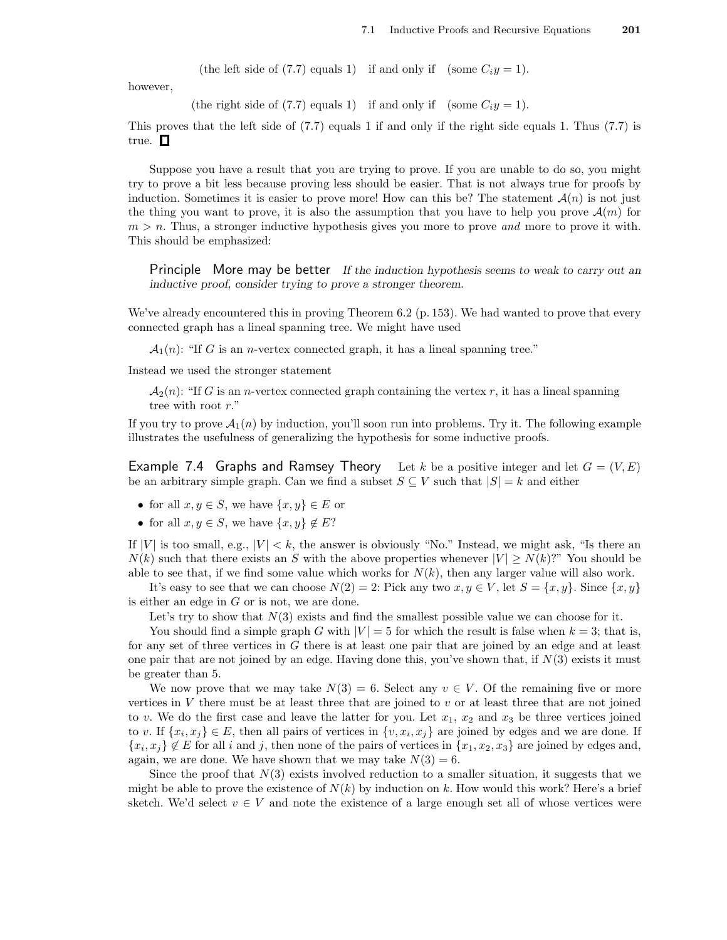(the left side of (7.7) equals 1) if and only if (some  $C_i y = 1$ ).

however,

(the right side of (7.7) equals 1) if and only if (some  $C_i y = 1$ ).

This proves that the left side of (7.7) equals 1 if and only if the right side equals 1. Thus (7.7) is true.  $\Box$ 

Suppose you have a result that you are trying to prove. If you are unable to do so, you might try to prove a bit less because proving less should be easier. That is not always true for proofs by induction. Sometimes it is easier to prove more! How can this be? The statement  $\mathcal{A}(n)$  is not just the thing you want to prove, it is also the assumption that you have to help you prove  $\mathcal{A}(m)$  for  $m > n$ . Thus, a stronger inductive hypothesis gives you more to prove and more to prove it with. This should be emphasized:

Principle More may be better If the induction hypothesis seems to weak to carry out an inductive proof, consider trying to prove a stronger theorem.

We've already encountered this in proving Theorem 6.2 (p. 153). We had wanted to prove that every connected graph has a lineal spanning tree. We might have used

 $\mathcal{A}_1(n)$ : "If G is an *n*-vertex connected graph, it has a lineal spanning tree."

Instead we used the stronger statement

 $\mathcal{A}_2(n)$ : "If G is an *n*-vertex connected graph containing the vertex r, it has a lineal spanning tree with root r."

If you try to prove  $A_1(n)$  by induction, you'll soon run into problems. Try it. The following example illustrates the usefulness of generalizing the hypothesis for some inductive proofs.

**Example 7.4 Graphs and Ramsey Theory** Let k be a positive integer and let  $G = (V, E)$ be an arbitrary simple graph. Can we find a subset  $S \subseteq V$  such that  $|S| = k$  and either

- for all  $x, y \in S$ , we have  $\{x, y\} \in E$  or
- for all  $x, y \in S$ , we have  $\{x, y\} \notin E$ ?

If |V| is too small, e.g.,  $|V| < k$ , the answer is obviously "No." Instead, we might ask, "Is there an  $N(k)$  such that there exists an S with the above properties whenever  $|V| \ge N(k)$ ?" You should be able to see that, if we find some value which works for  $N(k)$ , then any larger value will also work.

It's easy to see that we can choose  $N(2) = 2$ : Pick any two  $x, y \in V$ , let  $S = \{x, y\}$ . Since  $\{x, y\}$ is either an edge in  $G$  or is not, we are done.

Let's try to show that  $N(3)$  exists and find the smallest possible value we can choose for it.

You should find a simple graph G with  $|V| = 5$  for which the result is false when  $k = 3$ ; that is, for any set of three vertices in  $G$  there is at least one pair that are joined by an edge and at least one pair that are not joined by an edge. Having done this, you've shown that, if  $N(3)$  exists it must be greater than 5.

We now prove that we may take  $N(3) = 6$ . Select any  $v \in V$ . Of the remaining five or more vertices in  $V$  there must be at least three that are joined to  $v$  or at least three that are not joined to v. We do the first case and leave the latter for you. Let  $x_1, x_2$  and  $x_3$  be three vertices joined to v. If  $\{x_i, x_j\} \in E$ , then all pairs of vertices in  $\{v, x_i, x_j\}$  are joined by edges and we are done. If  $\{x_i, x_j\} \notin E$  for all i and j, then none of the pairs of vertices in  $\{x_1, x_2, x_3\}$  are joined by edges and, again, we are done. We have shown that we may take  $N(3) = 6$ .

Since the proof that  $N(3)$  exists involved reduction to a smaller situation, it suggests that we might be able to prove the existence of  $N(k)$  by induction on k. How would this work? Here's a brief sketch. We'd select  $v \in V$  and note the existence of a large enough set all of whose vertices were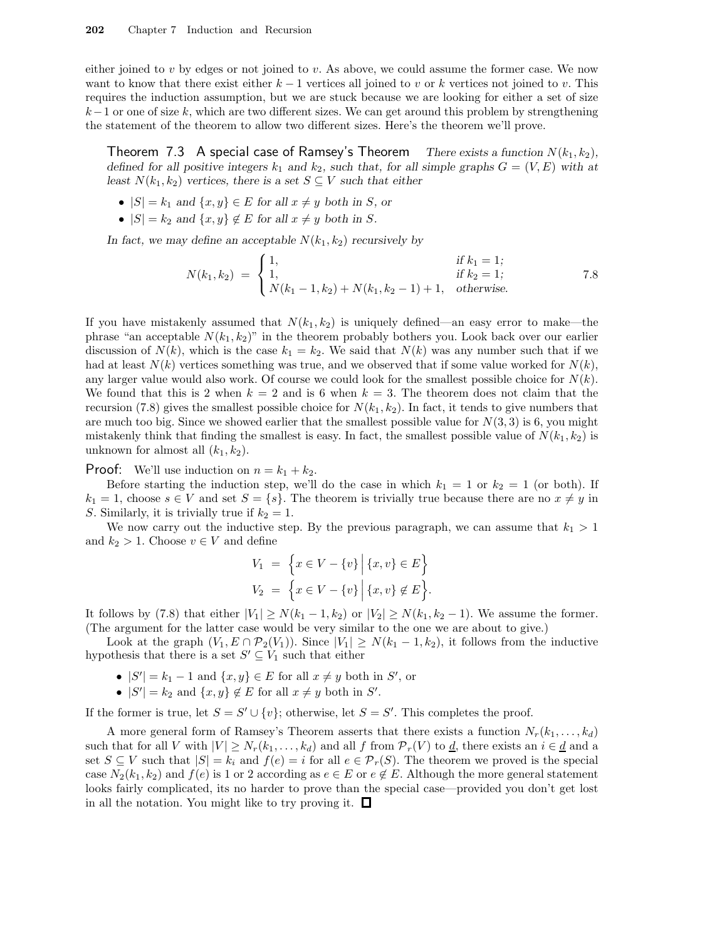either joined to  $v$  by edges or not joined to  $v$ . As above, we could assume the former case. We now want to know that there exist either  $k - 1$  vertices all joined to v or k vertices not joined to v. This requires the induction assumption, but we are stuck because we are looking for either a set of size  $k-1$  or one of size k, which are two different sizes. We can get around this problem by strengthening the statement of the theorem to allow two different sizes. Here's the theorem we'll prove.

Theorem 7.3 A special case of Ramsey's Theorem There exists a function  $N(k_1, k_2)$ , defined for all positive integers  $k_1$  and  $k_2$ , such that, for all simple graphs  $G = (V, E)$  with at least  $N(k_1, k_2)$  vertices, there is a set  $S \subseteq V$  such that either

- $|S| = k_1$  and  $\{x, y\} \in E$  for all  $x \neq y$  both in S, or
- $|S| = k_2$  and  $\{x, y\} \notin E$  for all  $x \neq y$  both in S.

In fact, we may define an acceptable  $N(k_1, k_2)$  recursively by

$$
N(k_1, k_2) = \begin{cases} 1, & \text{if } k_1 = 1; \\ 1, & \text{if } k_2 = 1; \\ N(k_1 - 1, k_2) + N(k_1, k_2 - 1) + 1, & \text{otherwise.} \end{cases}
$$
 7.8

If you have mistakenly assumed that  $N(k_1, k_2)$  is uniquely defined—an easy error to make—the phrase "an acceptable  $N(k_1, k_2)$ " in the theorem probably bothers you. Look back over our earlier discussion of  $N(k)$ , which is the case  $k_1 = k_2$ . We said that  $N(k)$  was any number such that if we had at least  $N(k)$  vertices something was true, and we observed that if some value worked for  $N(k)$ , any larger value would also work. Of course we could look for the smallest possible choice for  $N(k)$ . We found that this is 2 when  $k = 2$  and is 6 when  $k = 3$ . The theorem does not claim that the recursion (7.8) gives the smallest possible choice for  $N(k_1, k_2)$ . In fact, it tends to give numbers that are much too big. Since we showed earlier that the smallest possible value for  $N(3,3)$  is 6, you might mistakenly think that finding the smallest is easy. In fact, the smallest possible value of  $N(k_1, k_2)$  is unknown for almost all  $(k_1, k_2)$ .

**Proof:** We'll use induction on  $n = k_1 + k_2$ .

Before starting the induction step, we'll do the case in which  $k_1 = 1$  or  $k_2 = 1$  (or both). If  $k_1 = 1$ , choose  $s \in V$  and set  $S = \{s\}$ . The theorem is trivially true because there are no  $x \neq y$  in S. Similarly, it is trivially true if  $k_2 = 1$ .

We now carry out the inductive step. By the previous paragraph, we can assume that  $k_1 > 1$ and  $k_2 > 1$ . Choose  $v \in V$  and define

$$
V_1 = \left\{ x \in V - \{v\} \middle| \{x, v\} \in E \right\}
$$
  

$$
V_2 = \left\{ x \in V - \{v\} \middle| \{x, v\} \notin E \right\}.
$$

It follows by (7.8) that either  $|V_1| \ge N(k_1 - 1, k_2)$  or  $|V_2| \ge N(k_1, k_2 - 1)$ . We assume the former. (The argument for the latter case would be very similar to the one we are about to give.)

Look at the graph  $(V_1, E \cap \mathcal{P}_2(V_1))$ . Since  $|V_1| \ge N(k_1 - 1, k_2)$ , it follows from the inductive hypothesis that there is a set  $S' \subseteq V_1$  such that either

- $|S'| = k_1 1$  and  $\{x, y\} \in E$  for all  $x \neq y$  both in S', or
- $|S'| = k_2$  and  $\{x, y\} \notin E$  for all  $x \neq y$  both in S'.

If the former is true, let  $S = S' \cup \{v\}$ ; otherwise, let  $S = S'$ . This completes the proof.

A more general form of Ramsey's Theorem asserts that there exists a function  $N_r(k_1, \ldots, k_d)$ such that for all V with  $|V| \ge N_r(k_1,\ldots,k_d)$  and all f from  $\mathcal{P}_r(V)$  to <u>d</u>, there exists an  $i \in \underline{d}$  and a set  $S \subseteq V$  such that  $|S| = k_i$  and  $f(e) = i$  for all  $e \in \mathcal{P}_r(S)$ . The theorem we proved is the special case  $N_2(k_1, k_2)$  and  $f(e)$  is 1 or 2 according as  $e \in E$  or  $e \notin E$ . Although the more general statement looks fairly complicated, its no harder to prove than the special case—provided you don't get lost in all the notation. You might like to try proving it.  $\Box$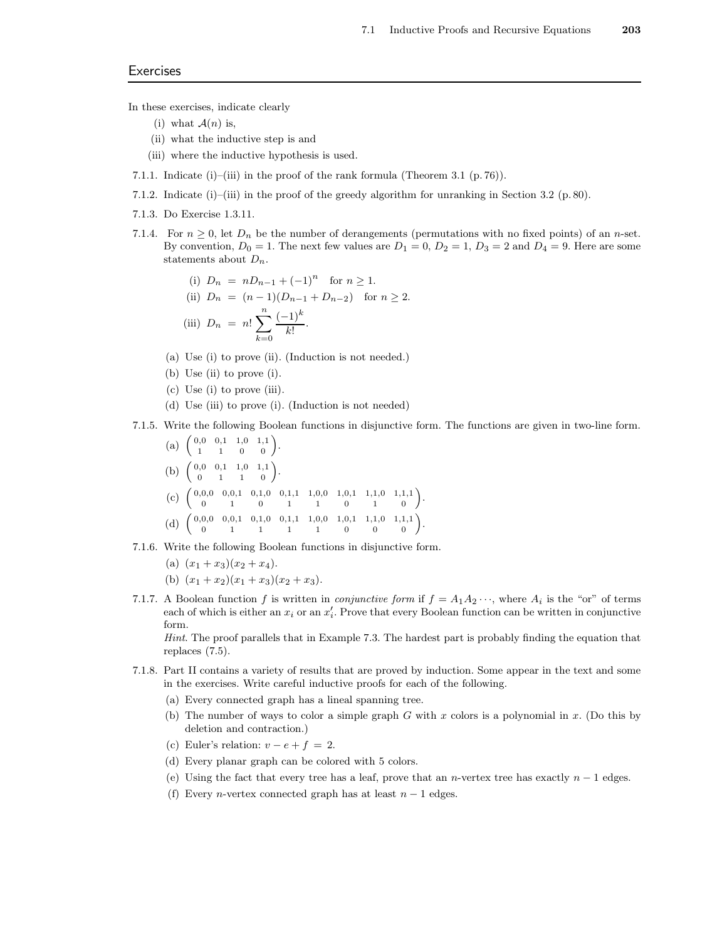In these exercises, indicate clearly

- (i) what  $\mathcal{A}(n)$  is,
- (ii) what the inductive step is and
- (iii) where the inductive hypothesis is used.
- 7.1.1. Indicate (i)–(iii) in the proof of the rank formula (Theorem 3.1 (p. 76)).
- 7.1.2. Indicate (i)–(iii) in the proof of the greedy algorithm for unranking in Section 3.2 (p. 80).
- 7.1.3. Do Exercise 1.3.11.
- 7.1.4. For  $n \geq 0$ , let  $D_n$  be the number of derangements (permutations with no fixed points) of an n-set. By convention,  $D_0 = 1$ . The next few values are  $D_1 = 0$ ,  $D_2 = 1$ ,  $D_3 = 2$  and  $D_4 = 9$ . Here are some statements about  $D_n$ .

(i) 
$$
D_n = nD_{n-1} + (-1)^n
$$
 for  $n \ge 1$ .  
\n(ii)  $D_n = (n-1)(D_{n-1} + D_{n-2})$  for  $n \ge 2$ .  
\n(iii)  $D_n = n! \sum_{n=1}^n \frac{(-1)^k}{n!}$ .

(a) Use (i) to prove (ii). (Induction is not needed.)

k!

 $_{k=0}$ 

- (b) Use (ii) to prove (i).
- (c) Use (i) to prove (iii).
- (d) Use (iii) to prove (i). (Induction is not needed)
- 7.1.5. Write the following Boolean functions in disjunctive form. The functions are given in two-line form.
	- (a)  $\begin{pmatrix} 0,0 & 0,1 & 1,0 & 1,1 \\ 1 & 1 & 0 & 0 \end{pmatrix}$ . (b)  $\begin{pmatrix} 0,0 & 0,1 & 1,0 & 1,1 \\ 0 & 1 & 1 & 0 \end{pmatrix}$ .  $(c)$   $\begin{pmatrix} 0,0,0 & 0,0,1 & 0,1,0 & 0,1,1 & 1,0,0 & 1,0,1 & 1,1,0 & 1,1,1 \\ 0 & 1 & 0 & 1 & 1 & 0 & 1 & 0 \end{pmatrix}$ . (d)  $\begin{pmatrix} 0,0,0 & 0,0,1 & 0,1,0 & 0,1,1 & 1,0,0 & 1,0,1 & 1,1,1 & 1 \\ 0 & 1 & 1 & 1 & 1 & 0 & 0 & 0 \\ 0 & 0 & 0 & 0 & 0 & 0 & 0 \end{pmatrix}$
- 7.1.6. Write the following Boolean functions in disjunctive form.

(a) 
$$
(x_1 + x_3)(x_2 + x_4)
$$
.

- (b)  $(x_1 + x_2)(x_1 + x_3)(x_2 + x_3)$ .
- 7.1.7. A Boolean function f is written in *conjunctive form* if  $f = A_1 A_2 \cdots$ , where  $A_i$  is the "or" of terms each of which is either an  $x_i$  or an  $x'_i$ . Prove that every Boolean function can be written in conjunctive form.

Hint. The proof parallels that in Example 7.3. The hardest part is probably finding the equation that replaces (7.5).

- 7.1.8. Part II contains a variety of results that are proved by induction. Some appear in the text and some in the exercises. Write careful inductive proofs for each of the following.
	- (a) Every connected graph has a lineal spanning tree.
	- (b) The number of ways to color a simple graph  $G$  with  $x$  colors is a polynomial in  $x$ . (Do this by deletion and contraction.)
	- (c) Euler's relation:  $v e + f = 2$ .
	- (d) Every planar graph can be colored with 5 colors.
	- (e) Using the fact that every tree has a leaf, prove that an *n*-vertex tree has exactly  $n 1$  edges.
	- (f) Every *n*-vertex connected graph has at least  $n 1$  edges.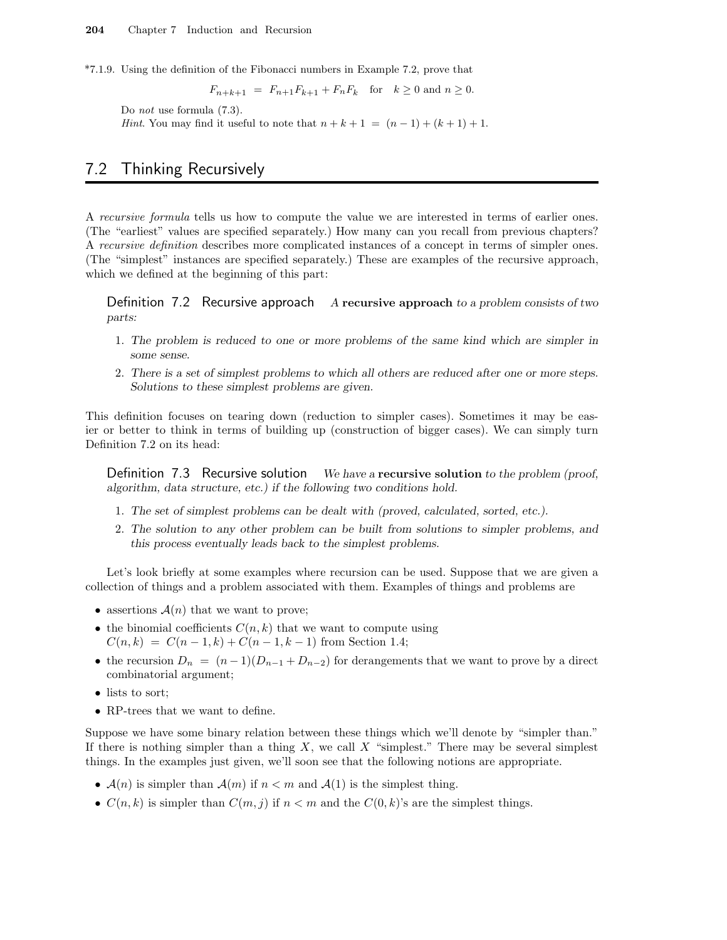\*7.1.9. Using the definition of the Fibonacci numbers in Example 7.2, prove that

 $F_{n+k+1} = F_{n+1}F_{k+1} + F_nF_k$  for  $k \ge 0$  and  $n \ge 0$ .

Do not use formula (7.3). *Hint.* You may find it useful to note that  $n + k + 1 = (n - 1) + (k + 1) + 1$ .

## 7.2 Thinking Recursively

A recursive formula tells us how to compute the value we are interested in terms of earlier ones. (The "earliest" values are specified separately.) How many can you recall from previous chapters? A recursive definition describes more complicated instances of a concept in terms of simpler ones. (The "simplest" instances are specified separately.) These are examples of the recursive approach, which we defined at the beginning of this part:

Definition 7.2 Recursive approach A recursive approach to a problem consists of two parts:

- 1. The problem is reduced to one or more problems of the same kind which are simpler in some sense.
- 2. There is a set of simplest problems to which all others are reduced after one or more steps. Solutions to these simplest problems are given.

This definition focuses on tearing down (reduction to simpler cases). Sometimes it may be easier or better to think in terms of building up (construction of bigger cases). We can simply turn Definition 7.2 on its head:

Definition 7.3 Recursive solution We have a recursive solution to the problem (proof, algorithm, data structure, etc.) if the following two conditions hold.

- 1. The set of simplest problems can be dealt with (proved, calculated, sorted, etc.).
- 2. The solution to any other problem can be built from solutions to simpler problems, and this process eventually leads back to the simplest problems.

Let's look briefly at some examples where recursion can be used. Suppose that we are given a collection of things and a problem associated with them. Examples of things and problems are

- assertions  $A(n)$  that we want to prove;
- the binomial coefficients  $C(n, k)$  that we want to compute using  $C(n, k) = C(n-1, k) + C(n-1, k-1)$  from Section 1.4;
- the recursion  $D_n = (n-1)(D_{n-1} + D_{n-2})$  for derangements that we want to prove by a direct combinatorial argument;
- lists to sort;
- RP-trees that we want to define.

Suppose we have some binary relation between these things which we'll denote by "simpler than." If there is nothing simpler than a thing  $X$ , we call  $X$  "simplest." There may be several simplest things. In the examples just given, we'll soon see that the following notions are appropriate.

- $\mathcal{A}(n)$  is simpler than  $\mathcal{A}(m)$  if  $n < m$  and  $\mathcal{A}(1)$  is the simplest thing.
- $C(n, k)$  is simpler than  $C(m, j)$  if  $n < m$  and the  $C(0, k)$ 's are the simplest things.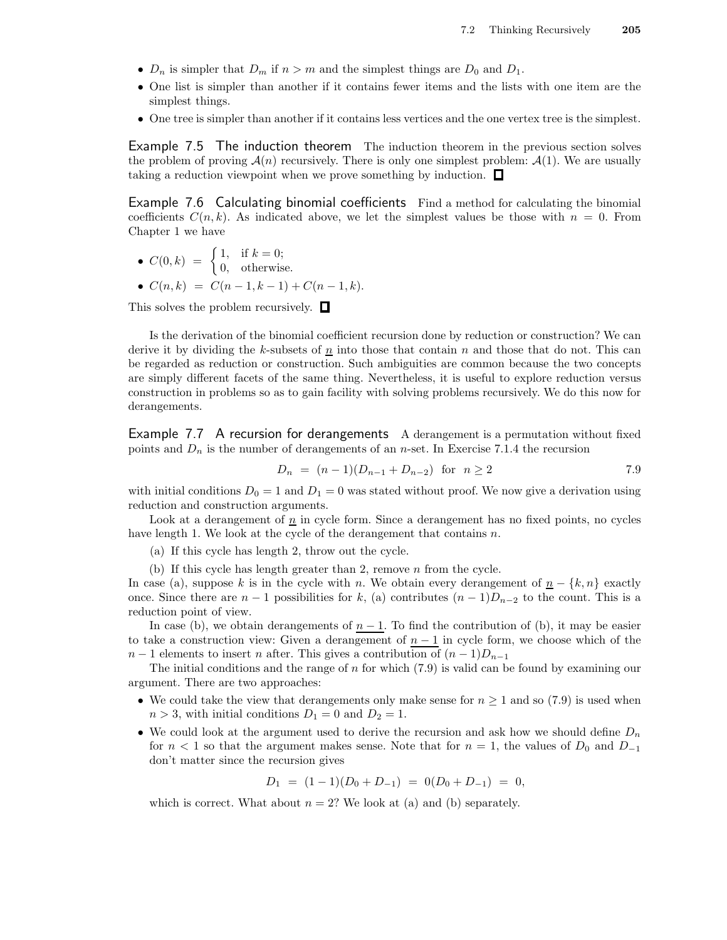- $D_n$  is simpler that  $D_m$  if  $n > m$  and the simplest things are  $D_0$  and  $D_1$ .
- One list is simpler than another if it contains fewer items and the lists with one item are the simplest things.
- One tree is simpler than another if it contains less vertices and the one vertex tree is the simplest.

Example 7.5 The induction theorem The induction theorem in the previous section solves the problem of proving  $\mathcal{A}(n)$  recursively. There is only one simplest problem:  $\mathcal{A}(1)$ . We are usually taking a reduction viewpoint when we prove something by induction.  $\Box$ 

Example 7.6 Calculating binomial coefficients Find a method for calculating the binomial coefficients  $C(n, k)$ . As indicated above, we let the simplest values be those with  $n = 0$ . From Chapter 1 we have

- $C(0,k) = \begin{cases} 1, & \text{if } k = 0; \\ 0, & \text{otherwise} \end{cases}$ 0, otherwise.
- $C(n, k) = C(n 1, k 1) + C(n 1, k).$

This solves the problem recursively.  $\square$ 

Is the derivation of the binomial coefficient recursion done by reduction or construction? We can derive it by dividing the k-subsets of  $\underline{n}$  into those that contain n and those that do not. This can be regarded as reduction or construction. Such ambiguities are common because the two concepts are simply different facets of the same thing. Nevertheless, it is useful to explore reduction versus construction in problems so as to gain facility with solving problems recursively. We do this now for derangements.

Example 7.7 A recursion for derangements A derangement is a permutation without fixed points and  $D_n$  is the number of derangements of an n-set. In Exercise 7.1.4 the recursion

$$
D_n = (n-1)(D_{n-1} + D_{n-2}) \text{ for } n \ge 2
$$
 7.9

with initial conditions  $D_0 = 1$  and  $D_1 = 0$  was stated without proof. We now give a derivation using reduction and construction arguments.

Look at a derangement of  $n$  in cycle form. Since a derangement has no fixed points, no cycles have length 1. We look at the cycle of the derangement that contains  $n$ .

(a) If this cycle has length 2, throw out the cycle.

(b) If this cycle has length greater than 2, remove n from the cycle.

In case (a), suppose k is in the cycle with n. We obtain every derangement of  $n - \{k, n\}$  exactly once. Since there are  $n-1$  possibilities for k, (a) contributes  $(n-1)D_{n-2}$  to the count. This is a reduction point of view.

In case (b), we obtain derangements of  $n - 1$ . To find the contribution of (b), it may be easier to take a construction view: Given a derangement of  $n-1$  in cycle form, we choose which of the  $n-1$  elements to insert n after. This gives a contribution of  $(n-1)D_{n-1}$ 

The initial conditions and the range of  $n$  for which  $(7.9)$  is valid can be found by examining our argument. There are two approaches:

- We could take the view that derangements only make sense for  $n \geq 1$  and so (7.9) is used when  $n > 3$ , with initial conditions  $D_1 = 0$  and  $D_2 = 1$ .
- We could look at the argument used to derive the recursion and ask how we should define  $D_n$ for  $n < 1$  so that the argument makes sense. Note that for  $n = 1$ , the values of  $D_0$  and  $D_{-1}$ don't matter since the recursion gives

$$
D_1 = (1 - 1)(D_0 + D_{-1}) = 0(D_0 + D_{-1}) = 0,
$$

which is correct. What about  $n = 2$ ? We look at (a) and (b) separately.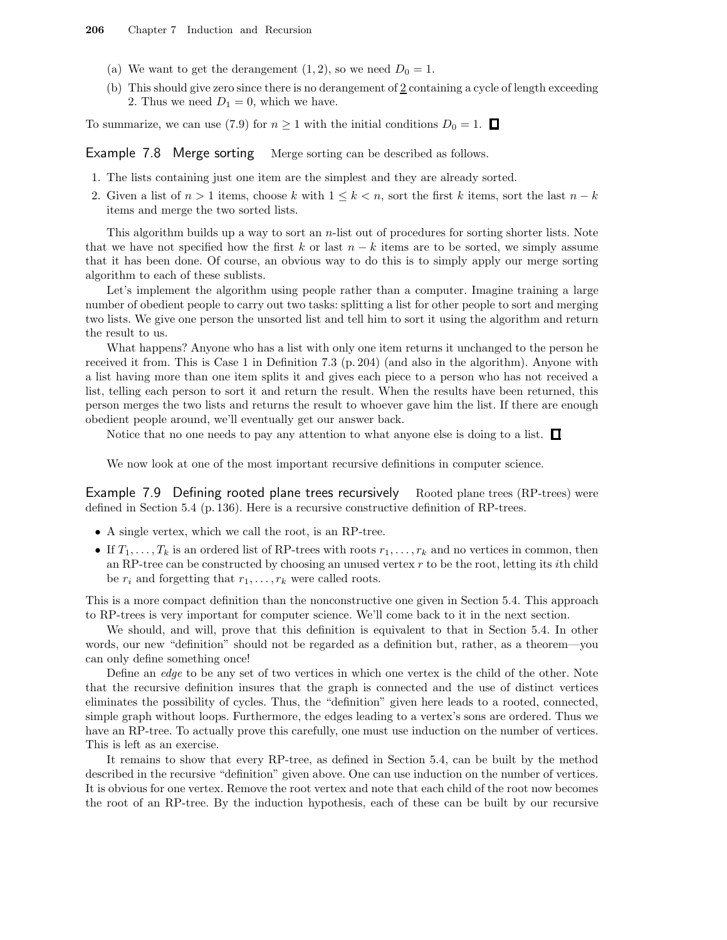- (a) We want to get the derangement  $(1, 2)$ , so we need  $D_0 = 1$ .
- (b) This should give zero since there is no derangement of  $2$  containing a cycle of length exceeding 2. Thus we need  $D_1 = 0$ , which we have.

To summarize, we can use (7.9) for  $n \geq 1$  with the initial conditions  $D_0 = 1$ .

Example 7.8 Merge sorting Merge sorting can be described as follows.

- 1. The lists containing just one item are the simplest and they are already sorted.
- 2. Given a list of  $n > 1$  items, choose k with  $1 \leq k < n$ , sort the first k items, sort the last  $n k$ items and merge the two sorted lists.

This algorithm builds up a way to sort an n-list out of procedures for sorting shorter lists. Note that we have not specified how the first k or last  $n - k$  items are to be sorted, we simply assume that it has been done. Of course, an obvious way to do this is to simply apply our merge sorting algorithm to each of these sublists.

Let's implement the algorithm using people rather than a computer. Imagine training a large number of obedient people to carry out two tasks: splitting a list for other people to sort and merging two lists. We give one person the unsorted list and tell him to sort it using the algorithm and return the result to us.

What happens? Anyone who has a list with only one item returns it unchanged to the person he received it from. This is Case 1 in Definition 7.3 (p. 204) (and also in the algorithm). Anyone with a list having more than one item splits it and gives each piece to a person who has not received a list, telling each person to sort it and return the result. When the results have been returned, this person merges the two lists and returns the result to whoever gave him the list. If there are enough obedient people around, we'll eventually get our answer back.

Notice that no one needs to pay any attention to what anyone else is doing to a list.  $\Box$ 

We now look at one of the most important recursive definitions in computer science.

Example 7.9 Defining rooted plane trees recursively Rooted plane trees (RP-trees) were defined in Section 5.4 (p. 136). Here is a recursive constructive definition of RP-trees.

- A single vertex, which we call the root, is an RP-tree.
- If  $T_1, \ldots, T_k$  is an ordered list of RP-trees with roots  $r_1, \ldots, r_k$  and no vertices in common, then an RP-tree can be constructed by choosing an unused vertex  $r$  to be the root, letting its *i*th child be  $r_i$  and forgetting that  $r_1, \ldots, r_k$  were called roots.

This is a more compact definition than the nonconstructive one given in Section 5.4. This approach to RP-trees is very important for computer science. We'll come back to it in the next section.

We should, and will, prove that this definition is equivalent to that in Section 5.4. In other words, our new "definition" should not be regarded as a definition but, rather, as a theorem—you can only define something once!

Define an edge to be any set of two vertices in which one vertex is the child of the other. Note that the recursive definition insures that the graph is connected and the use of distinct vertices eliminates the possibility of cycles. Thus, the "definition" given here leads to a rooted, connected, simple graph without loops. Furthermore, the edges leading to a vertex's sons are ordered. Thus we have an RP-tree. To actually prove this carefully, one must use induction on the number of vertices. This is left as an exercise.

It remains to show that every RP-tree, as defined in Section 5.4, can be built by the method described in the recursive "definition" given above. One can use induction on the number of vertices. It is obvious for one vertex. Remove the root vertex and note that each child of the root now becomes the root of an RP-tree. By the induction hypothesis, each of these can be built by our recursive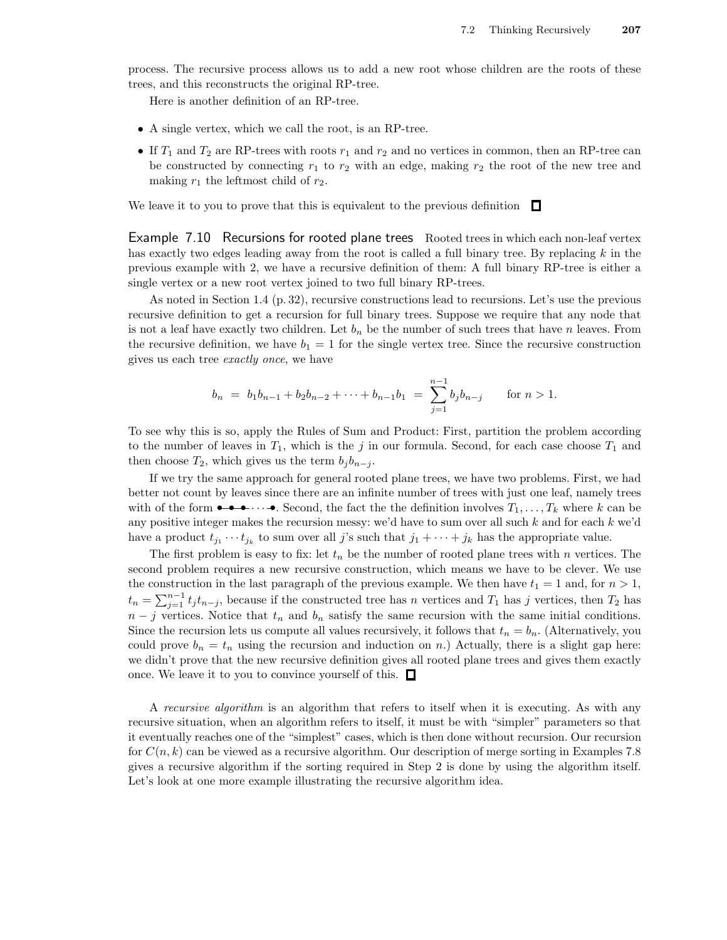process. The recursive process allows us to add a new root whose children are the roots of these trees, and this reconstructs the original RP-tree.

Here is another definition of an RP-tree.

- A single vertex, which we call the root, is an RP-tree.
- If  $T_1$  and  $T_2$  are RP-trees with roots  $r_1$  and  $r_2$  and no vertices in common, then an RP-tree can be constructed by connecting  $r_1$  to  $r_2$  with an edge, making  $r_2$  the root of the new tree and making  $r_1$  the leftmost child of  $r_2$ .

We leave it to you to prove that this is equivalent to the previous definition  $\Box$ 

Example 7.10 Recursions for rooted plane trees Rooted trees in which each non-leaf vertex has exactly two edges leading away from the root is called a full binary tree. By replacing k in the previous example with 2, we have a recursive definition of them: A full binary RP-tree is either a single vertex or a new root vertex joined to two full binary RP-trees.

As noted in Section 1.4 (p. 32), recursive constructions lead to recursions. Let's use the previous recursive definition to get a recursion for full binary trees. Suppose we require that any node that is not a leaf have exactly two children. Let  $b_n$  be the number of such trees that have n leaves. From the recursive definition, we have  $b_1 = 1$  for the single vertex tree. Since the recursive construction gives us each tree exactly once, we have

$$
b_n = b_1 b_{n-1} + b_2 b_{n-2} + \dots + b_{n-1} b_1 = \sum_{j=1}^{n-1} b_j b_{n-j} \quad \text{for } n > 1.
$$

To see why this is so, apply the Rules of Sum and Product: First, partition the problem according to the number of leaves in  $T_1$ , which is the j in our formula. Second, for each case choose  $T_1$  and then choose  $T_2$ , which gives us the term  $b_j b_{n-j}$ .

If we try the same approach for general rooted plane trees, we have two problems. First, we had better not count by leaves since there are an infinite number of trees with just one leaf, namely trees with of the form  $\bullet \bullet \bullet \bullet \bullet \bullet \bullet$ . Second, the fact the the definition involves  $T_1, \ldots, T_k$  where k can be any positive integer makes the recursion messy: we'd have to sum over all such k and for each k we'd have a product  $t_{j_1} \cdots t_{j_k}$  to sum over all j's such that  $j_1 + \cdots + j_k$  has the appropriate value.

The first problem is easy to fix: let  $t_n$  be the number of rooted plane trees with n vertices. The second problem requires a new recursive construction, which means we have to be clever. We use the construction in the last paragraph of the previous example. We then have  $t_1 = 1$  and, for  $n > 1$ ,  $t_n = \sum_{j=1}^{n-1} t_j t_{n-j}$ , because if the constructed tree has n vertices and  $T_1$  has j vertices, then  $T_2$  has  $n - j$  vertices. Notice that  $t_n$  and  $b_n$  satisfy the same recursion with the same initial conditions. Since the recursion lets us compute all values recursively, it follows that  $t_n = b_n$ . (Alternatively, you could prove  $b_n = t_n$  using the recursion and induction on n.) Actually, there is a slight gap here: we didn't prove that the new recursive definition gives all rooted plane trees and gives them exactly once. We leave it to you to convince yourself of this.  $\square$ 

A recursive algorithm is an algorithm that refers to itself when it is executing. As with any recursive situation, when an algorithm refers to itself, it must be with "simpler" parameters so that it eventually reaches one of the "simplest" cases, which is then done without recursion. Our recursion for  $C(n, k)$  can be viewed as a recursive algorithm. Our description of merge sorting in Examples 7.8 gives a recursive algorithm if the sorting required in Step 2 is done by using the algorithm itself. Let's look at one more example illustrating the recursive algorithm idea.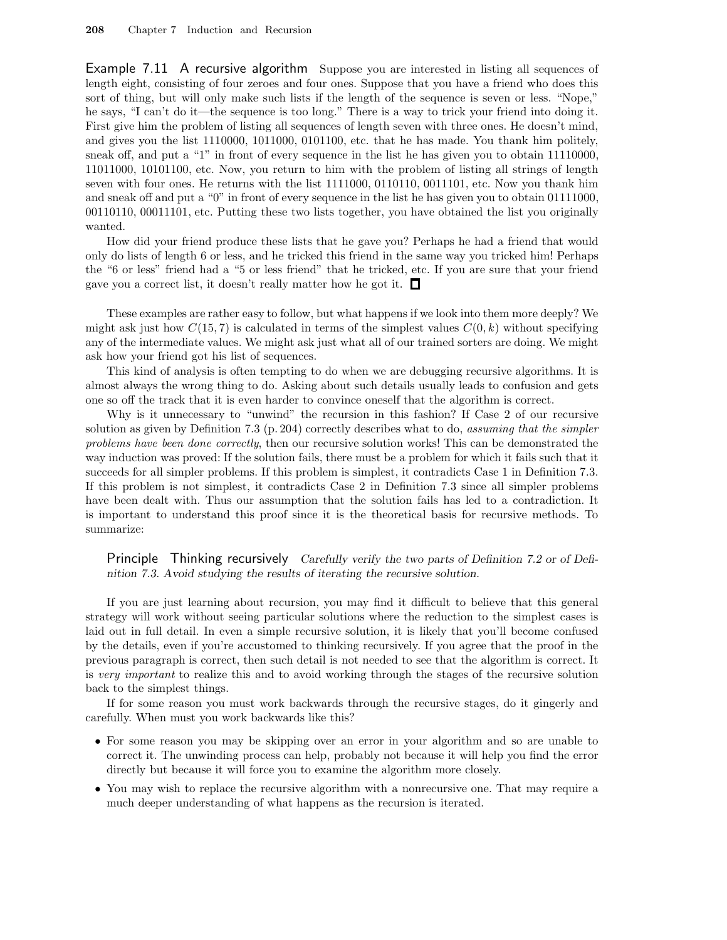Example 7.11 A recursive algorithm Suppose you are interested in listing all sequences of length eight, consisting of four zeroes and four ones. Suppose that you have a friend who does this sort of thing, but will only make such lists if the length of the sequence is seven or less. "Nope," he says, "I can't do it—the sequence is too long." There is a way to trick your friend into doing it. First give him the problem of listing all sequences of length seven with three ones. He doesn't mind, and gives you the list 1110000, 1011000, 0101100, etc. that he has made. You thank him politely, sneak off, and put a "1" in front of every sequence in the list he has given you to obtain 11110000, 11011000, 10101100, etc. Now, you return to him with the problem of listing all strings of length seven with four ones. He returns with the list 1111000, 0110110, 0011101, etc. Now you thank him and sneak off and put a "0" in front of every sequence in the list he has given you to obtain 01111000, 00110110, 00011101, etc. Putting these two lists together, you have obtained the list you originally wanted.

How did your friend produce these lists that he gave you? Perhaps he had a friend that would only do lists of length 6 or less, and he tricked this friend in the same way you tricked him! Perhaps the "6 or less" friend had a "5 or less friend" that he tricked, etc. If you are sure that your friend gave you a correct list, it doesn't really matter how he got it.  $\Box$ 

These examples are rather easy to follow, but what happens if we look into them more deeply? We might ask just how  $C(15, 7)$  is calculated in terms of the simplest values  $C(0, k)$  without specifying any of the intermediate values. We might ask just what all of our trained sorters are doing. We might ask how your friend got his list of sequences.

This kind of analysis is often tempting to do when we are debugging recursive algorithms. It is almost always the wrong thing to do. Asking about such details usually leads to confusion and gets one so off the track that it is even harder to convince oneself that the algorithm is correct.

Why is it unnecessary to "unwind" the recursion in this fashion? If Case 2 of our recursive solution as given by Definition 7.3 (p. 204) correctly describes what to do, assuming that the simpler problems have been done correctly, then our recursive solution works! This can be demonstrated the way induction was proved: If the solution fails, there must be a problem for which it fails such that it succeeds for all simpler problems. If this problem is simplest, it contradicts Case 1 in Definition 7.3. If this problem is not simplest, it contradicts Case 2 in Definition 7.3 since all simpler problems have been dealt with. Thus our assumption that the solution fails has led to a contradiction. It is important to understand this proof since it is the theoretical basis for recursive methods. To summarize:

Principle Thinking recursively *Carefully verify the two parts of Definition 7.2 or of Defi*nition 7.3. Avoid studying the results of iterating the recursive solution.

If you are just learning about recursion, you may find it difficult to believe that this general strategy will work without seeing particular solutions where the reduction to the simplest cases is laid out in full detail. In even a simple recursive solution, it is likely that you'll become confused by the details, even if you're accustomed to thinking recursively. If you agree that the proof in the previous paragraph is correct, then such detail is not needed to see that the algorithm is correct. It is very important to realize this and to avoid working through the stages of the recursive solution back to the simplest things.

If for some reason you must work backwards through the recursive stages, do it gingerly and carefully. When must you work backwards like this?

- For some reason you may be skipping over an error in your algorithm and so are unable to correct it. The unwinding process can help, probably not because it will help you find the error directly but because it will force you to examine the algorithm more closely.
- You may wish to replace the recursive algorithm with a nonrecursive one. That may require a much deeper understanding of what happens as the recursion is iterated.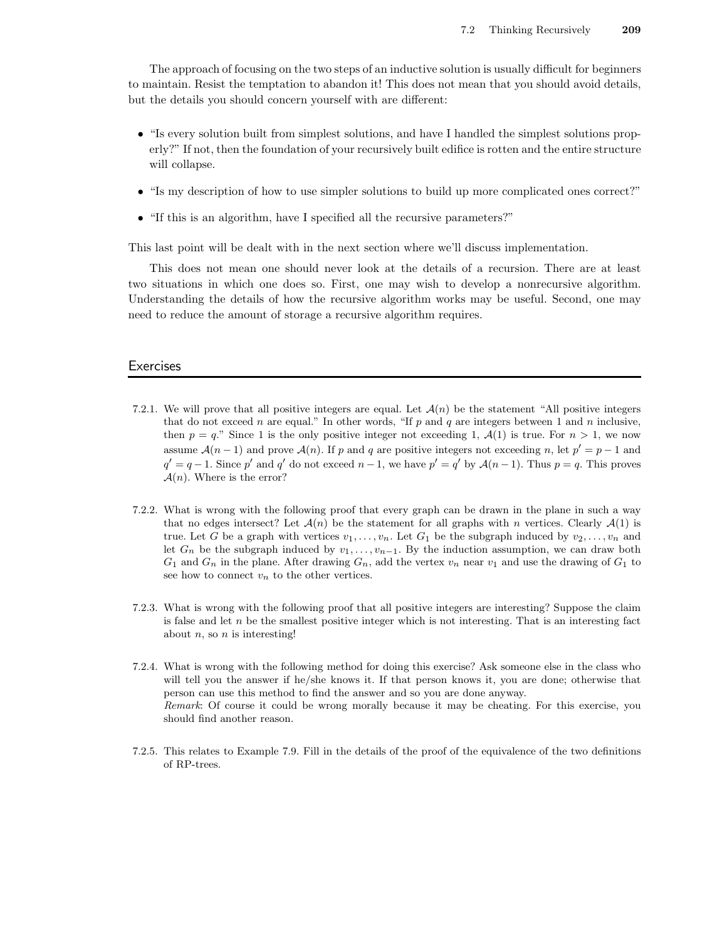The approach of focusing on the two steps of an inductive solution is usually difficult for beginners to maintain. Resist the temptation to abandon it! This does not mean that you should avoid details, but the details you should concern yourself with are different:

- "Is every solution built from simplest solutions, and have I handled the simplest solutions properly?" If not, then the foundation of your recursively built edifice is rotten and the entire structure will collapse.
- "Is my description of how to use simpler solutions to build up more complicated ones correct?"
- "If this is an algorithm, have I specified all the recursive parameters?"

This last point will be dealt with in the next section where we'll discuss implementation.

This does not mean one should never look at the details of a recursion. There are at least two situations in which one does so. First, one may wish to develop a nonrecursive algorithm. Understanding the details of how the recursive algorithm works may be useful. Second, one may need to reduce the amount of storage a recursive algorithm requires.

### **Exercises**

- 7.2.1. We will prove that all positive integers are equal. Let  $\mathcal{A}(n)$  be the statement "All positive integers" that do not exceed n are equal." In other words, "If p and q are integers between 1 and n inclusive, then  $p = q$ ." Since 1 is the only positive integer not exceeding 1,  $\mathcal{A}(1)$  is true. For  $n > 1$ , we now assume  $\mathcal{A}(n-1)$  and prove  $\mathcal{A}(n)$ . If p and q are positive integers not exceeding n, let  $p' = p - 1$  and  $q' = q - 1$ . Since p' and q' do not exceed  $n - 1$ , we have  $p' = q'$  by  $\mathcal{A}(n - 1)$ . Thus  $p = q$ . This proves  $\mathcal{A}(n)$ . Where is the error?
- 7.2.2. What is wrong with the following proof that every graph can be drawn in the plane in such a way that no edges intersect? Let  $\mathcal{A}(n)$  be the statement for all graphs with n vertices. Clearly  $\mathcal{A}(1)$  is true. Let G be a graph with vertices  $v_1, \ldots, v_n$ . Let  $G_1$  be the subgraph induced by  $v_2, \ldots, v_n$  and let  $G_n$  be the subgraph induced by  $v_1, \ldots, v_{n-1}$ . By the induction assumption, we can draw both  $G_1$  and  $G_n$  in the plane. After drawing  $G_n$ , add the vertex  $v_n$  near  $v_1$  and use the drawing of  $G_1$  to see how to connect  $v_n$  to the other vertices.
- 7.2.3. What is wrong with the following proof that all positive integers are interesting? Suppose the claim is false and let  $n$  be the smallest positive integer which is not interesting. That is an interesting fact about  $n$ , so  $n$  is interesting!
- 7.2.4. What is wrong with the following method for doing this exercise? Ask someone else in the class who will tell you the answer if he/she knows it. If that person knows it, you are done; otherwise that person can use this method to find the answer and so you are done anyway. Remark: Of course it could be wrong morally because it may be cheating. For this exercise, you should find another reason.
- 7.2.5. This relates to Example 7.9. Fill in the details of the proof of the equivalence of the two definitions of RP-trees.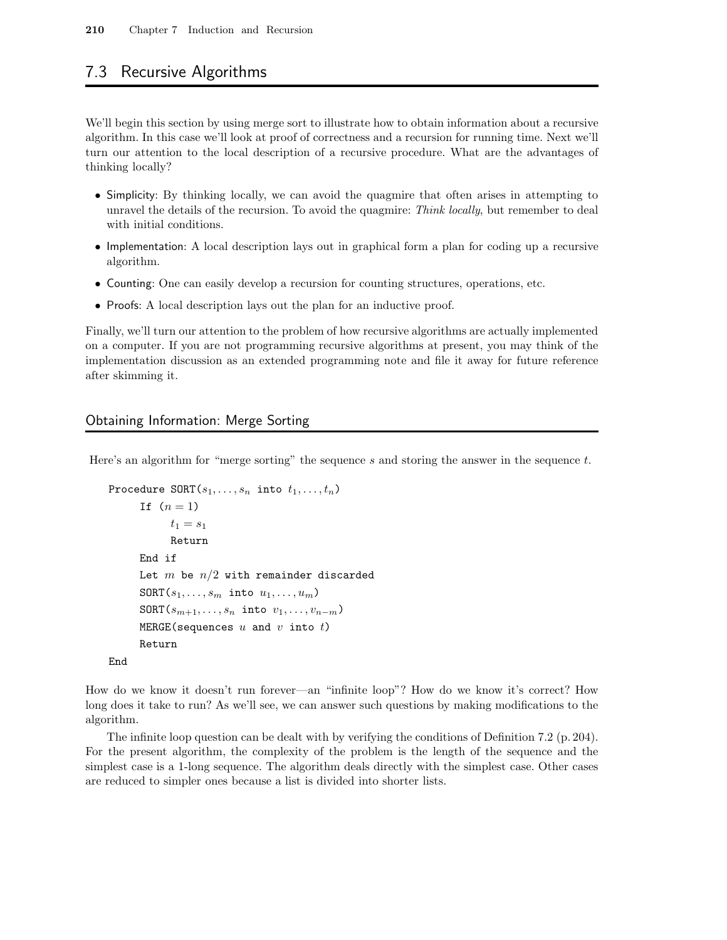# 7.3 Recursive Algorithms

We'll begin this section by using merge sort to illustrate how to obtain information about a recursive algorithm. In this case we'll look at proof of correctness and a recursion for running time. Next we'll turn our attention to the local description of a recursive procedure. What are the advantages of thinking locally?

- Simplicity: By thinking locally, we can avoid the quagmire that often arises in attempting to unravel the details of the recursion. To avoid the quagmire: Think locally, but remember to deal with initial conditions.
- Implementation: A local description lays out in graphical form a plan for coding up a recursive algorithm.
- Counting: One can easily develop a recursion for counting structures, operations, etc.
- Proofs: A local description lays out the plan for an inductive proof.

Finally, we'll turn our attention to the problem of how recursive algorithms are actually implemented on a computer. If you are not programming recursive algorithms at present, you may think of the implementation discussion as an extended programming note and file it away for future reference after skimming it.

## Obtaining Information: Merge Sorting

Here's an algorithm for "merge sorting" the sequence s and storing the answer in the sequence  $t$ .

```
Procedure SORT(s_1, \ldots, s_n into t_1, \ldots, t_n)
      If (n=1)t_1 = s_1Return
      End if
      Let m be n/2 with remainder discarded
      SORT(s_1, \ldots, s_m into u_1, \ldots, u_m)SORT(s_{m+1}, \ldots, s_n into v_1, \ldots, v_{n-m})
      MERGE(sequences u and v into t)
      Return
End
```
How do we know it doesn't run forever—an "infinite loop"? How do we know it's correct? How long does it take to run? As we'll see, we can answer such questions by making modifications to the algorithm.

The infinite loop question can be dealt with by verifying the conditions of Definition 7.2 (p. 204). For the present algorithm, the complexity of the problem is the length of the sequence and the simplest case is a 1-long sequence. The algorithm deals directly with the simplest case. Other cases are reduced to simpler ones because a list is divided into shorter lists.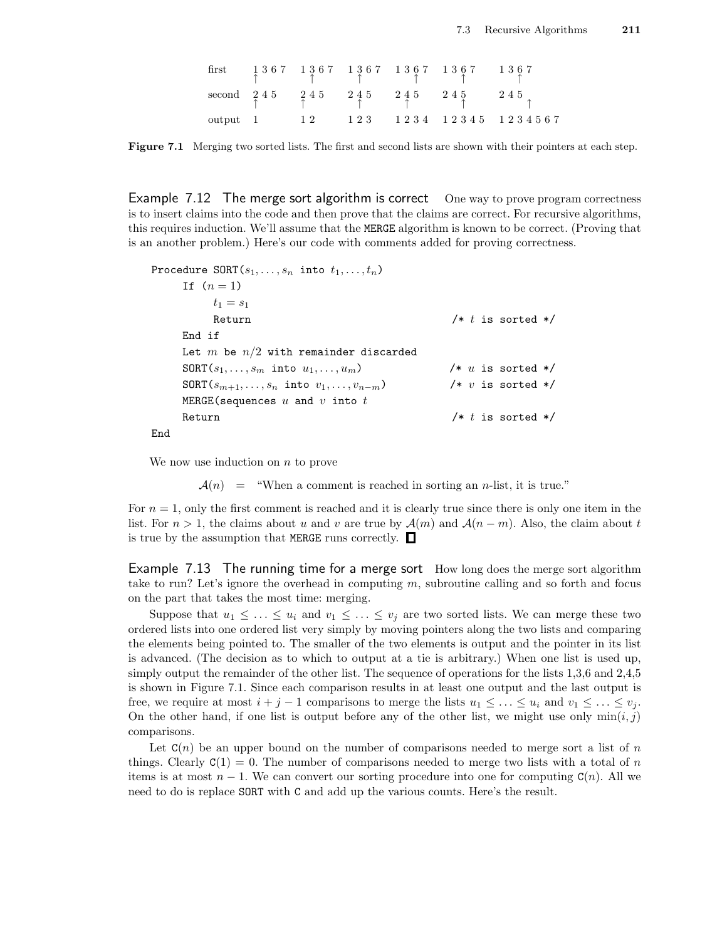| first |                      |  | $1367$ $1367$ $1367$ $1367$ $1367$ $1367$ $1367$                             |                                                                             |
|-------|----------------------|--|------------------------------------------------------------------------------|-----------------------------------------------------------------------------|
|       |                      |  | second $2\ 4\ 5$ $2\ 4\ 5$ $2\ 4\ 5$ $2\ 4\ 5$ $2\ 4\ 5$ $2\ 4\ 5$ $2\ 4\ 5$ |                                                                             |
|       | output $1 \t 1 \t 1$ |  |                                                                              | $1\ 2\ 3 \qquad 1\ 2\ 3\ 4 \qquad 1\ 2\ 3\ 4\ 5 \qquad 1\ 2\ 3\ 4\ 5\ 6\ 7$ |

Figure 7.1 Merging two sorted lists. The first and second lists are shown with their pointers at each step.

Example 7.12 The merge sort algorithm is correct One way to prove program correctness is to insert claims into the code and then prove that the claims are correct. For recursive algorithms, this requires induction. We'll assume that the MERGE algorithm is known to be correct. (Proving that is an another problem.) Here's our code with comments added for proving correctness.

Procedure SORT $(s_1, \ldots, s_n$  into  $t_1, \ldots, t_n$ ) If  $(n=1)$  $t_1 = s_1$ Return  $/* t$  is sorted  $*$ / End if Let  $m$  be  $n/2$  with remainder discarded  $SORT(s_1, \ldots, s_m \text{ into } u_1, \ldots, u_m)$  /\* u is sorted \*/  $SORT(s_{m+1}, \ldots, s_n \text{ into } v_1, \ldots, v_{n-m})$  /\* v is sorted \*/ MERGE(sequences  $u$  and  $v$  into  $t$ Return  $/* t$  is sorted  $*$ / End

We now use induction on  $n$  to prove

 $\mathcal{A}(n)$  = "When a comment is reached in sorting an *n*-list, it is true."

For  $n = 1$ , only the first comment is reached and it is clearly true since there is only one item in the list. For  $n > 1$ , the claims about u and v are true by  $\mathcal{A}(m)$  and  $\mathcal{A}(n-m)$ . Also, the claim about t is true by the assumption that MERGE runs correctly.  $\Box$ 

Example 7.13 The running time for a merge sort How long does the merge sort algorithm take to run? Let's ignore the overhead in computing  $m$ , subroutine calling and so forth and focus on the part that takes the most time: merging.

Suppose that  $u_1 \leq \ldots \leq u_i$  and  $v_1 \leq \ldots \leq v_i$  are two sorted lists. We can merge these two ordered lists into one ordered list very simply by moving pointers along the two lists and comparing the elements being pointed to. The smaller of the two elements is output and the pointer in its list is advanced. (The decision as to which to output at a tie is arbitrary.) When one list is used up, simply output the remainder of the other list. The sequence of operations for the lists 1,3,6 and 2,4,5 is shown in Figure 7.1. Since each comparison results in at least one output and the last output is free, we require at most  $i + j - 1$  comparisons to merge the lists  $u_1 \leq \ldots \leq u_i$  and  $v_1 \leq \ldots \leq v_j$ . On the other hand, if one list is output before any of the other list, we might use only  $\min(i, j)$ comparisons.

Let  $C(n)$  be an upper bound on the number of comparisons needed to merge sort a list of n things. Clearly  $C(1) = 0$ . The number of comparisons needed to merge two lists with a total of n items is at most  $n-1$ . We can convert our sorting procedure into one for computing  $C(n)$ . All we need to do is replace SORT with C and add up the various counts. Here's the result.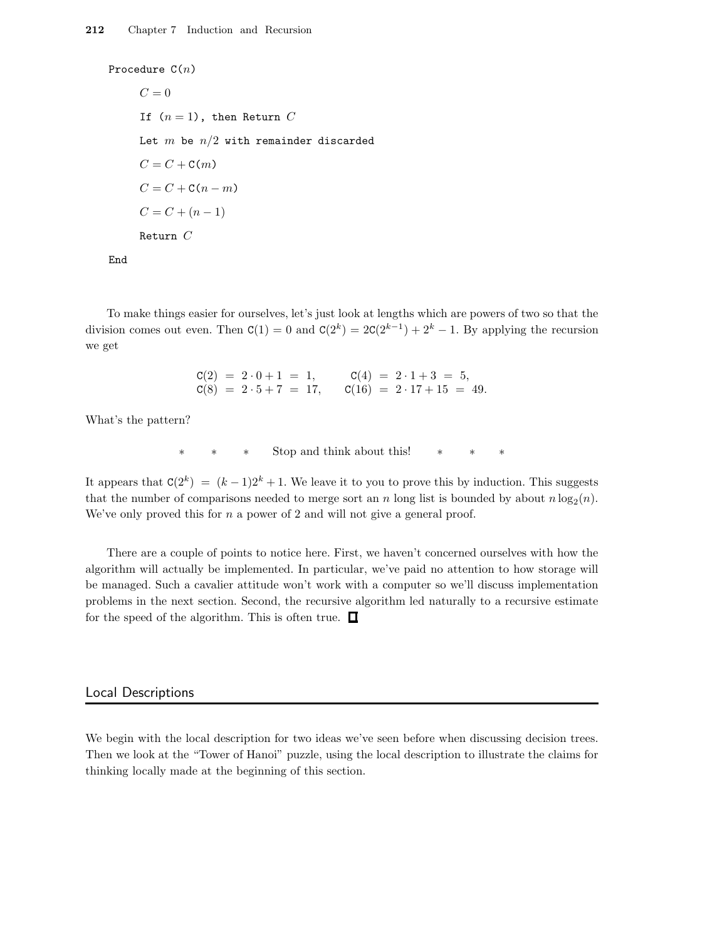Procedure  $C(n)$  $C=0$ If  $(n = 1)$ , then Return  $C$ Let  $m$  be  $n/2$  with remainder discarded  $C = C + C(m)$  $C = C + C(n-m)$  $C = C + (n - 1)$ Return C

End

To make things easier for ourselves, let's just look at lengths which are powers of two so that the division comes out even. Then  $C(1) = 0$  and  $C(2<sup>k</sup>) = 2C(2<sup>k-1</sup>) + 2<sup>k</sup> - 1$ . By applying the recursion we get

> $C(2) = 2 \cdot 0 + 1 = 1,$   $C(4) = 2 \cdot 1 + 3 = 5,$  $C(8) = 2 \cdot 5 + 7 = 17,$   $C(16) = 2 \cdot 17 + 15 = 49.$

What's the pattern?

∗ ∗ ∗ Stop and think about this! ∗ ∗ ∗

It appears that  $C(2^k) = (k-1)2^k + 1$ . We leave it to you to prove this by induction. This suggests that the number of comparisons needed to merge sort an n long list is bounded by about  $n \log_2(n)$ . We've only proved this for  $n$  a power of 2 and will not give a general proof.

There are a couple of points to notice here. First, we haven't concerned ourselves with how the algorithm will actually be implemented. In particular, we've paid no attention to how storage will be managed. Such a cavalier attitude won't work with a computer so we'll discuss implementation problems in the next section. Second, the recursive algorithm led naturally to a recursive estimate for the speed of the algorithm. This is often true.  $\Box$ 

### Local Descriptions

We begin with the local description for two ideas we've seen before when discussing decision trees. Then we look at the "Tower of Hanoi" puzzle, using the local description to illustrate the claims for thinking locally made at the beginning of this section.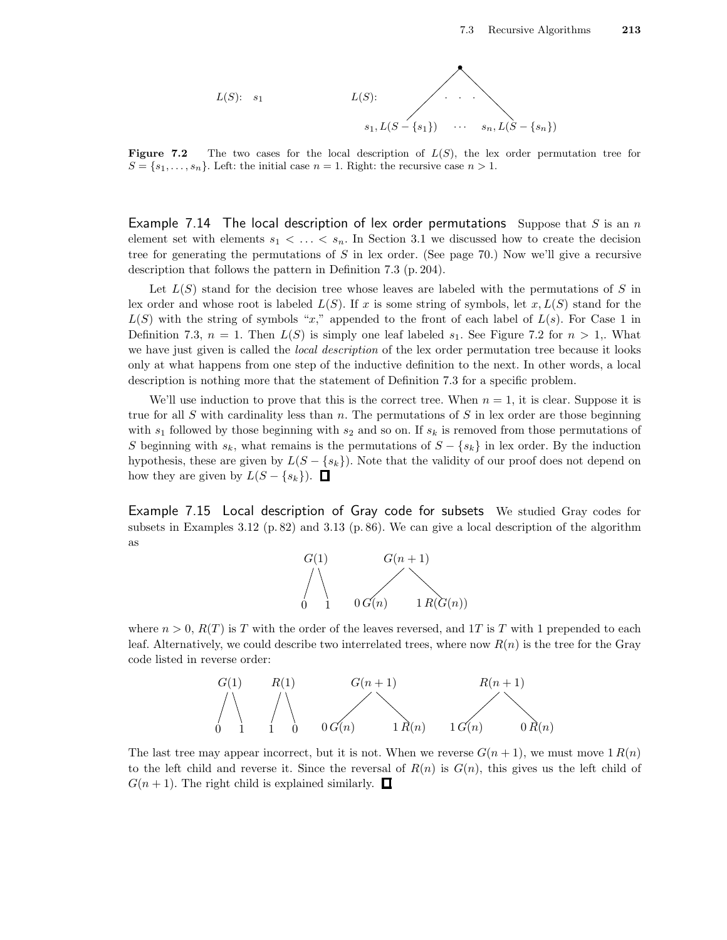

**Figure 7.2** The two cases for the local description of  $L(S)$ , the lex order permutation tree for  $S = \{s_1, \ldots, s_n\}$ . Left: the initial case  $n = 1$ . Right: the recursive case  $n > 1$ .

Example 7.14 The local description of lex order permutations Suppose that S is an n element set with elements  $s_1 < \ldots < s_n$ . In Section 3.1 we discussed how to create the decision tree for generating the permutations of  $S$  in lex order. (See page 70.) Now we'll give a recursive description that follows the pattern in Definition 7.3 (p. 204).

Let  $L(S)$  stand for the decision tree whose leaves are labeled with the permutations of S in lex order and whose root is labeled  $L(S)$ . If x is some string of symbols, let x,  $L(S)$  stand for the  $L(S)$  with the string of symbols "x," appended to the front of each label of  $L(s)$ . For Case 1 in Definition 7.3,  $n = 1$ . Then  $L(S)$  is simply one leaf labeled  $s_1$ . See Figure 7.2 for  $n > 1$ . What we have just given is called the *local description* of the lex order permutation tree because it looks only at what happens from one step of the inductive definition to the next. In other words, a local description is nothing more that the statement of Definition 7.3 for a specific problem.

We'll use induction to prove that this is the correct tree. When  $n = 1$ , it is clear. Suppose it is true for all S with cardinality less than n. The permutations of S in lex order are those beginning with  $s_1$  followed by those beginning with  $s_2$  and so on. If  $s_k$  is removed from those permutations of S beginning with  $s_k$ , what remains is the permutations of  $S - \{s_k\}$  in lex order. By the induction hypothesis, these are given by  $L(S - \{s_k\})$ . Note that the validity of our proof does not depend on how they are given by  $L(S - \{s_k\})$ .  $\Box$ 

Example 7.15 Local description of Gray code for subsets We studied Gray codes for subsets in Examples 3.12 (p. 82) and 3.13 (p. 86). We can give a local description of the algorithm as



where  $n > 0$ ,  $R(T)$  is T with the order of the leaves reversed, and 1T is T with 1 prepended to each leaf. Alternatively, we could describe two interrelated trees, where now  $R(n)$  is the tree for the Gray code listed in reverse order:



The last tree may appear incorrect, but it is not. When we reverse  $G(n + 1)$ , we must move  $1 R(n)$ to the left child and reverse it. Since the reversal of  $R(n)$  is  $G(n)$ , this gives us the left child of  $G(n + 1)$ . The right child is explained similarly.  $\Box$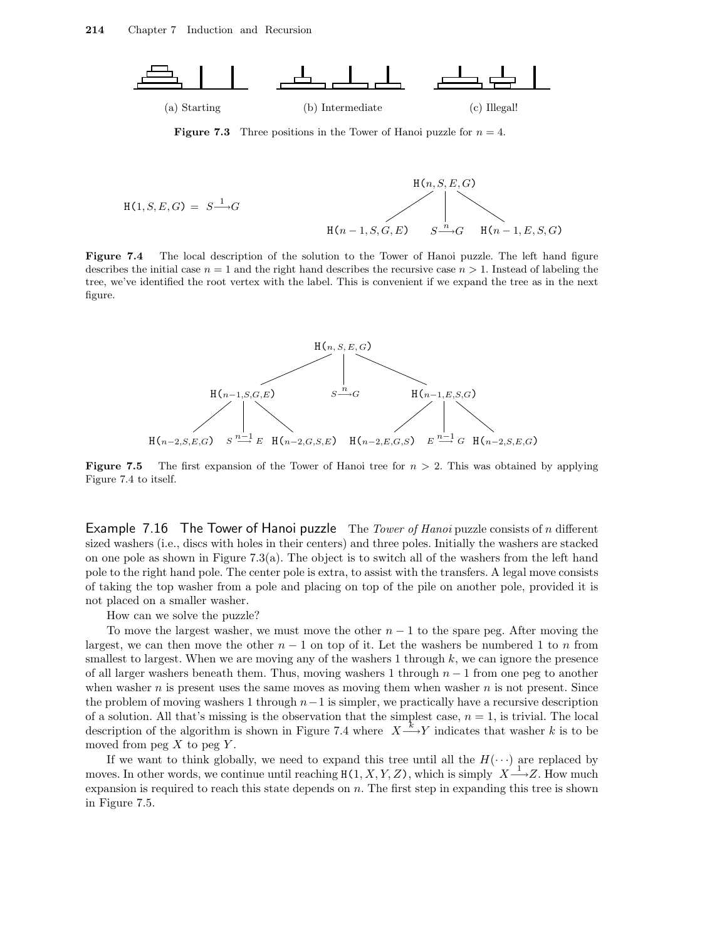

**Figure 7.3** Three positions in the Tower of Hanoi puzzle for  $n = 4$ .



Figure 7.4 The local description of the solution to the Tower of Hanoi puzzle. The left hand figure describes the initial case  $n = 1$  and the right hand describes the recursive case  $n > 1$ . Instead of labeling the tree, we've identified the root vertex with the label. This is convenient if we expand the tree as in the next figure.



**Figure 7.5** The first expansion of the Tower of Hanoi tree for  $n > 2$ . This was obtained by applying Figure 7.4 to itself.

Example 7.16 The Tower of Hanoi puzzle The Tower of Hanoi puzzle consists of n different sized washers (i.e., discs with holes in their centers) and three poles. Initially the washers are stacked on one pole as shown in Figure 7.3(a). The object is to switch all of the washers from the left hand pole to the right hand pole. The center pole is extra, to assist with the transfers. A legal move consists of taking the top washer from a pole and placing on top of the pile on another pole, provided it is not placed on a smaller washer.

How can we solve the puzzle?

To move the largest washer, we must move the other  $n-1$  to the spare peg. After moving the largest, we can then move the other  $n-1$  on top of it. Let the washers be numbered 1 to n from smallest to largest. When we are moving any of the washers  $1$  through  $k$ , we can ignore the presence of all larger washers beneath them. Thus, moving washers 1 through  $n-1$  from one peg to another when washer n is present uses the same moves as moving them when washer  $n$  is not present. Since the problem of moving washers 1 through  $n-1$  is simpler, we practically have a recursive description of a solution. All that's missing is the observation that the simplest case,  $n = 1$ , is trivial. The local description of the algorithm is shown in Figure 7.4 where  $X \xrightarrow{k} Y$  indicates that washer k is to be moved from peg  $X$  to peg  $Y$ .

If we want to think globally, we need to expand this tree until all the  $H(\cdots)$  are replaced by moves. In other words, we continue until reaching  $H(1, X, Y, Z)$ , which is simply  $X \xrightarrow{1} Z$ . How much expansion is required to reach this state depends on  $n$ . The first step in expanding this tree is shown in Figure 7.5.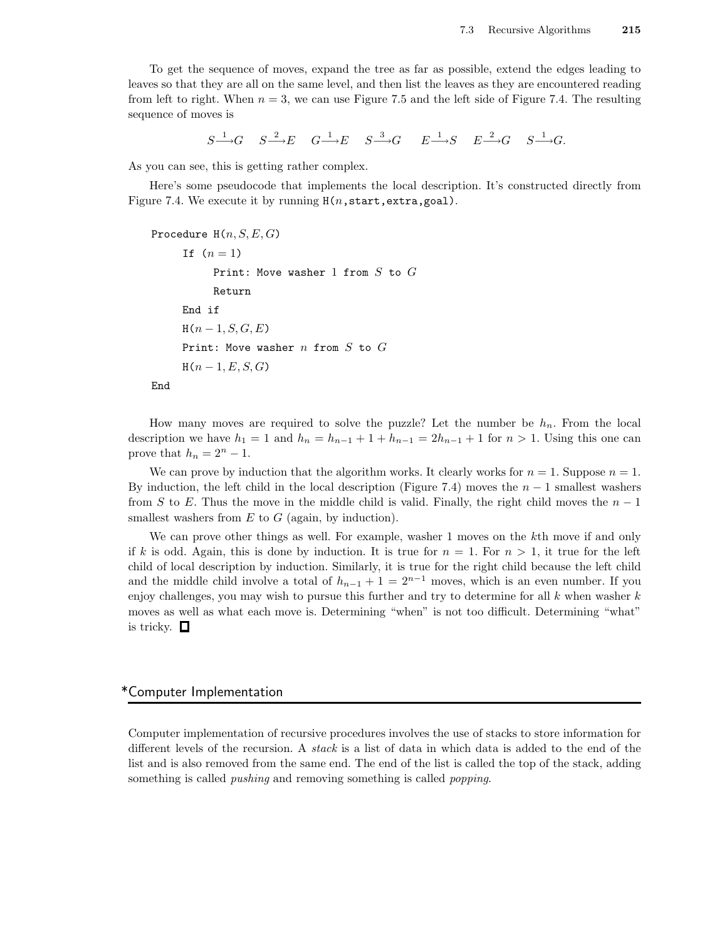To get the sequence of moves, expand the tree as far as possible, extend the edges leading to leaves so that they are all on the same level, and then list the leaves as they are encountered reading from left to right. When  $n = 3$ , we can use Figure 7.5 and the left side of Figure 7.4. The resulting sequence of moves is

 $S \xrightarrow{1} G \quad S \xrightarrow{2} E \quad G \xrightarrow{1} E \quad S \xrightarrow{3} G \quad E \xrightarrow{1} S \quad E \xrightarrow{2} G \quad S \xrightarrow{1} G.$ 

As you can see, this is getting rather complex.

Here's some pseudocode that implements the local description. It's constructed directly from Figure 7.4. We execute it by running  $H(n, start, extra, goal)$ .

```
Procedure H(n, S, E, G)If (n=1)Print: Move washer 1 from S to GReturn
     End if
     H(n-1, S, G, E)Print: Move washer n from S to GH(n-1, E, S, G)
```
End

How many moves are required to solve the puzzle? Let the number be  $h_n$ . From the local description we have  $h_1 = 1$  and  $h_n = h_{n-1} + 1 + h_{n-1} = 2h_{n-1} + 1$  for  $n > 1$ . Using this one can prove that  $h_n = 2^n - 1$ .

We can prove by induction that the algorithm works. It clearly works for  $n = 1$ . Suppose  $n = 1$ . By induction, the left child in the local description (Figure 7.4) moves the  $n-1$  smallest washers from S to E. Thus the move in the middle child is valid. Finally, the right child moves the  $n-1$ smallest washers from  $E$  to  $G$  (again, by induction).

We can prove other things as well. For example, washer 1 moves on the kth move if and only if k is odd. Again, this is done by induction. It is true for  $n = 1$ . For  $n > 1$ , it true for the left child of local description by induction. Similarly, it is true for the right child because the left child and the middle child involve a total of  $h_{n-1} + 1 = 2^{n-1}$  moves, which is an even number. If you enjoy challenges, you may wish to pursue this further and try to determine for all  $k$  when washer  $k$ moves as well as what each move is. Determining "when" is not too difficult. Determining "what" is tricky.  $\Box$ 

### \*Computer Implementation

Computer implementation of recursive procedures involves the use of stacks to store information for different levels of the recursion. A stack is a list of data in which data is added to the end of the list and is also removed from the same end. The end of the list is called the top of the stack, adding something is called *pushing* and removing something is called *popping*.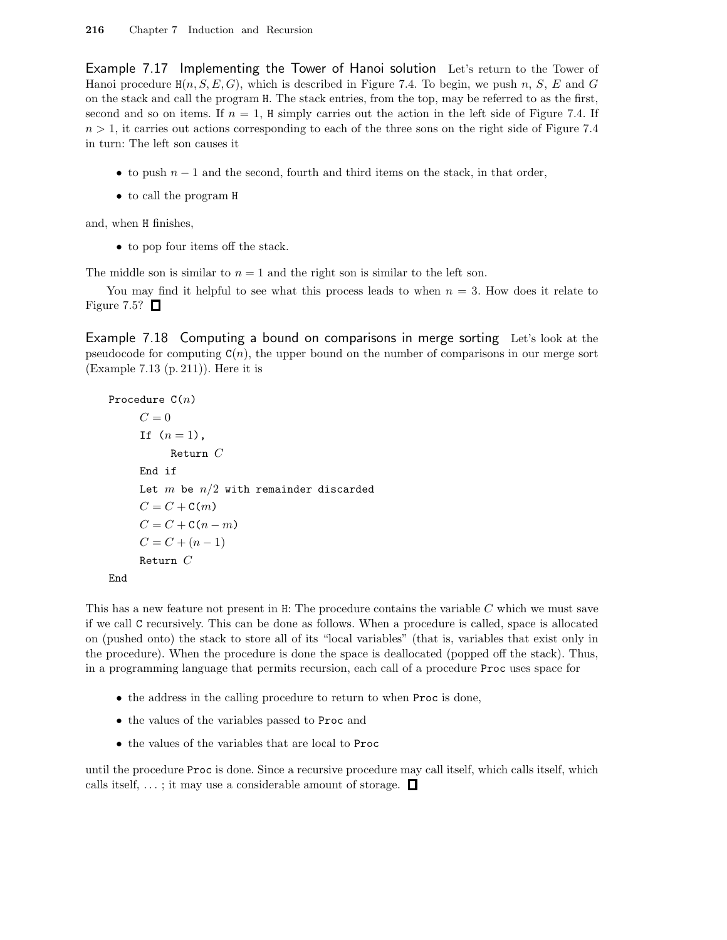Example 7.17 Implementing the Tower of Hanoi solution Let's return to the Tower of Hanoi procedure  $H(n, S, E, G)$ , which is described in Figure 7.4. To begin, we push n, S, E and G on the stack and call the program H. The stack entries, from the top, may be referred to as the first, second and so on items. If  $n = 1$ , H simply carries out the action in the left side of Figure 7.4. If  $n > 1$ , it carries out actions corresponding to each of the three sons on the right side of Figure 7.4 in turn: The left son causes it

- to push  $n-1$  and the second, fourth and third items on the stack, in that order,
- to call the program H

and, when H finishes,

• to pop four items off the stack.

The middle son is similar to  $n = 1$  and the right son is similar to the left son.

You may find it helpful to see what this process leads to when  $n = 3$ . How does it relate to Figure 7.5?  $\Box$ 

Example 7.18 Computing a bound on comparisons in merge sorting Let's look at the pseudocode for computing  $C(n)$ , the upper bound on the number of comparisons in our merge sort (Example 7.13 (p. 211)). Here it is

```
Procedure C(n)C=0If (n=1),
         Return C
    End if
    Let m be n/2 with remainder discarded
    C = C + C(m)C = C + C(n-m)C = C + (n - 1)Return C
```


This has a new feature not present in H: The procedure contains the variable C which we must save if we call C recursively. This can be done as follows. When a procedure is called, space is allocated on (pushed onto) the stack to store all of its "local variables" (that is, variables that exist only in the procedure). When the procedure is done the space is deallocated (popped off the stack). Thus, in a programming language that permits recursion, each call of a procedure Proc uses space for

- the address in the calling procedure to return to when Proc is done,
- the values of the variables passed to Proc and
- the values of the variables that are local to Proc

until the procedure Proc is done. Since a recursive procedure may call itself, which calls itself, which calls itself,  $\dots$ ; it may use a considerable amount of storage.  $\Box$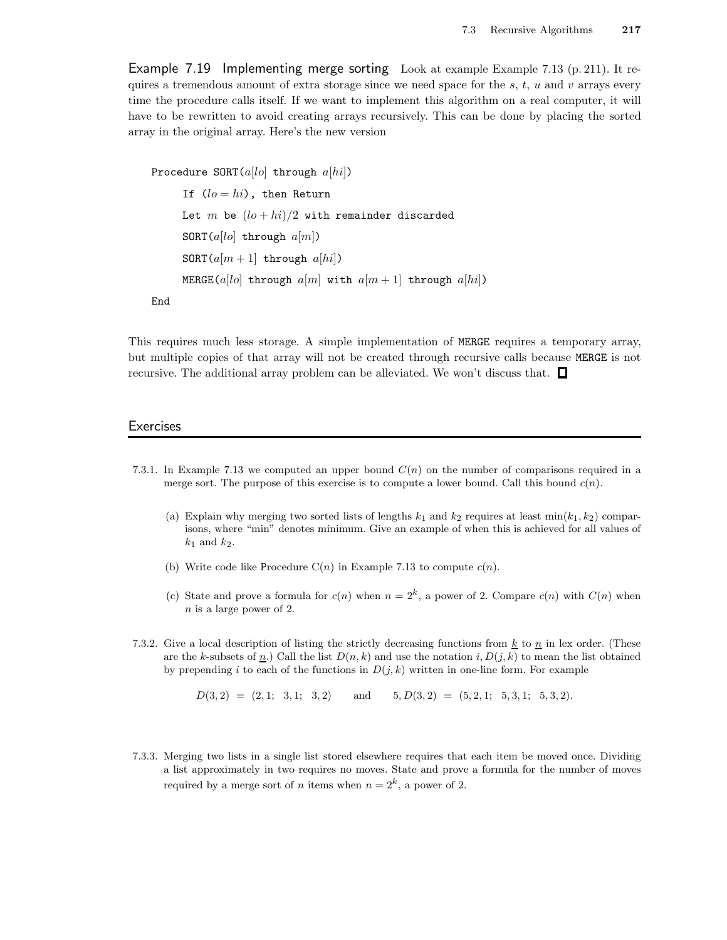Example 7.19 Implementing merge sorting Look at example Example 7.13 (p. 211). It requires a tremendous amount of extra storage since we need space for the s, t, u and v arrays every time the procedure calls itself. If we want to implement this algorithm on a real computer, it will have to be rewritten to avoid creating arrays recursively. This can be done by placing the sorted array in the original array. Here's the new version

```
Procedure SORT(a[lo] through a[hi])
     If (lo = hi), then Return
     Let m be (lo + hi)/2 with remainder discarded
     SORT(a[lo] through a[m])
     SORT(a[m+1] through a[hi])MERGE(a[lo] through a[m] with a[m + 1] through a[hi])
End
```
This requires much less storage. A simple implementation of MERGE requires a temporary array, but multiple copies of that array will not be created through recursive calls because MERGE is not recursive. The additional array problem can be alleviated. We won't discuss that.  $\Box$ 

#### **Exercises**

- 7.3.1. In Example 7.13 we computed an upper bound  $C(n)$  on the number of comparisons required in a merge sort. The purpose of this exercise is to compute a lower bound. Call this bound  $c(n)$ .
	- (a) Explain why merging two sorted lists of lengths  $k_1$  and  $k_2$  requires at least min $(k_1, k_2)$  comparisons, where "min" denotes minimum. Give an example of when this is achieved for all values of  $k_1$  and  $k_2$ .
	- (b) Write code like Procedure  $C(n)$  in Example 7.13 to compute  $c(n)$ .
	- (c) State and prove a formula for  $c(n)$  when  $n = 2<sup>k</sup>$ , a power of 2. Compare  $c(n)$  with  $C(n)$  when n is a large power of 2.
- 7.3.2. Give a local description of listing the strictly decreasing functions from  $\underline{k}$  to  $\underline{n}$  in lex order. (These are the k-subsets of  $\underline{n}$ .) Call the list  $D(n, k)$  and use the notation i,  $D(j, k)$  to mean the list obtained by prepending i to each of the functions in  $D(j, k)$  written in one-line form. For example

 $D(3, 2) = (2, 1; 3, 1; 3, 2)$  and  $5, D(3, 2) = (5, 2, 1; 5, 3, 1; 5, 3, 2).$ 

7.3.3. Merging two lists in a single list stored elsewhere requires that each item be moved once. Dividing a list approximately in two requires no moves. State and prove a formula for the number of moves required by a merge sort of *n* items when  $n = 2<sup>k</sup>$ , a power of 2.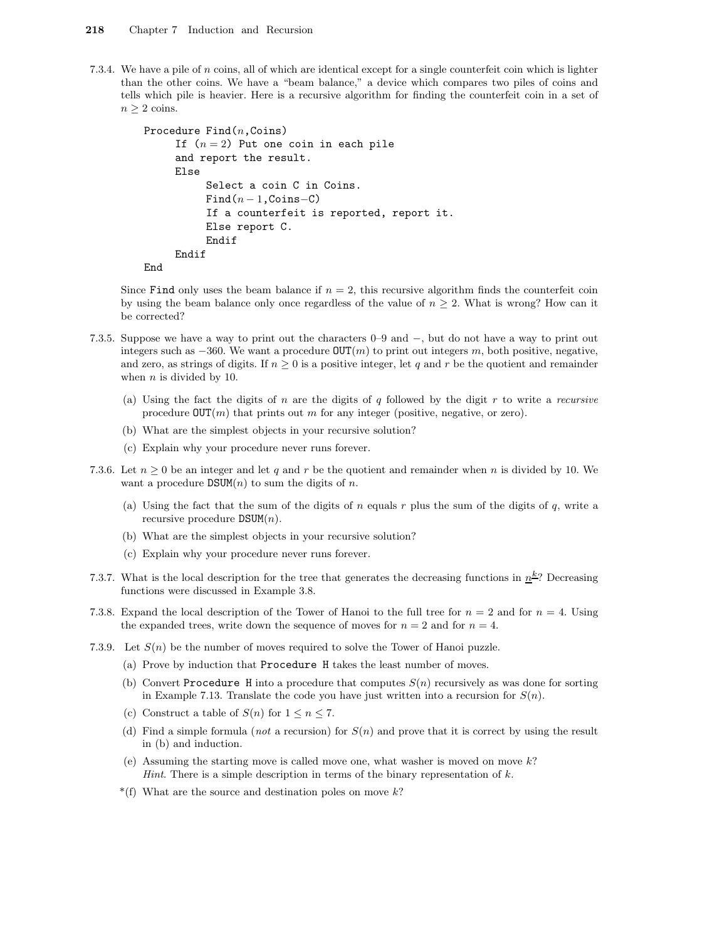7.3.4. We have a pile of n coins, all of which are identical except for a single counterfeit coin which is lighter than the other coins. We have a "beam balance," a device which compares two piles of coins and tells which pile is heavier. Here is a recursive algorithm for finding the counterfeit coin in a set of  $n \geq 2$  coins.

```
Procedure Find(n, \text{Coins})If (n = 2) Put one coin in each pile
     and report the result.
     Else
           Select a coin C in Coins.
           Find(n-1, \text{Coins}-C)If a counterfeit is reported, report it.
           Else report C.
           Endif
     Endif
```

```
End
```
Since Find only uses the beam balance if  $n = 2$ , this recursive algorithm finds the counterfeit coin by using the beam balance only once regardless of the value of  $n \geq 2$ . What is wrong? How can it be corrected?

- 7.3.5. Suppose we have a way to print out the characters 0–9 and −, but do not have a way to print out integers such as  $-360$ . We want a procedure  $OUT(m)$  to print out integers m, both positive, negative, and zero, as strings of digits. If  $n \geq 0$  is a positive integer, let q and r be the quotient and remainder when  $n$  is divided by 10.
	- (a) Using the fact the digits of n are the digits of q followed by the digit r to write a recursive procedure  $OUT(m)$  that prints out m for any integer (positive, negative, or zero).
	- (b) What are the simplest objects in your recursive solution?
	- (c) Explain why your procedure never runs forever.
- 7.3.6. Let  $n \geq 0$  be an integer and let q and r be the quotient and remainder when n is divided by 10. We want a procedure  $DSUM(n)$  to sum the digits of n.
	- (a) Using the fact that the sum of the digits of n equals r plus the sum of the digits of  $q$ , write a recursive procedure  $DSUM(n)$ .
	- (b) What are the simplest objects in your recursive solution?
	- (c) Explain why your procedure never runs forever.
- 7.3.7. What is the local description for the tree that generates the decreasing functions in  $n^{\underline{k}}$ ? Decreasing functions were discussed in Example 3.8.
- 7.3.8. Expand the local description of the Tower of Hanoi to the full tree for  $n = 2$  and for  $n = 4$ . Using the expanded trees, write down the sequence of moves for  $n = 2$  and for  $n = 4$ .
- 7.3.9. Let  $S(n)$  be the number of moves required to solve the Tower of Hanoi puzzle.
	- (a) Prove by induction that Procedure H takes the least number of moves.
	- (b) Convert Procedure H into a procedure that computes  $S(n)$  recursively as was done for sorting in Example 7.13. Translate the code you have just written into a recursion for  $S(n)$ .
	- (c) Construct a table of  $S(n)$  for  $1 \leq n \leq 7$ .
	- (d) Find a simple formula (not a recursion) for  $S(n)$  and prove that it is correct by using the result in (b) and induction.
	- (e) Assuming the starting move is called move one, what washer is moved on move k? *Hint*. There is a simple description in terms of the binary representation of  $k$ .
	- $*(f)$  What are the source and destination poles on move k?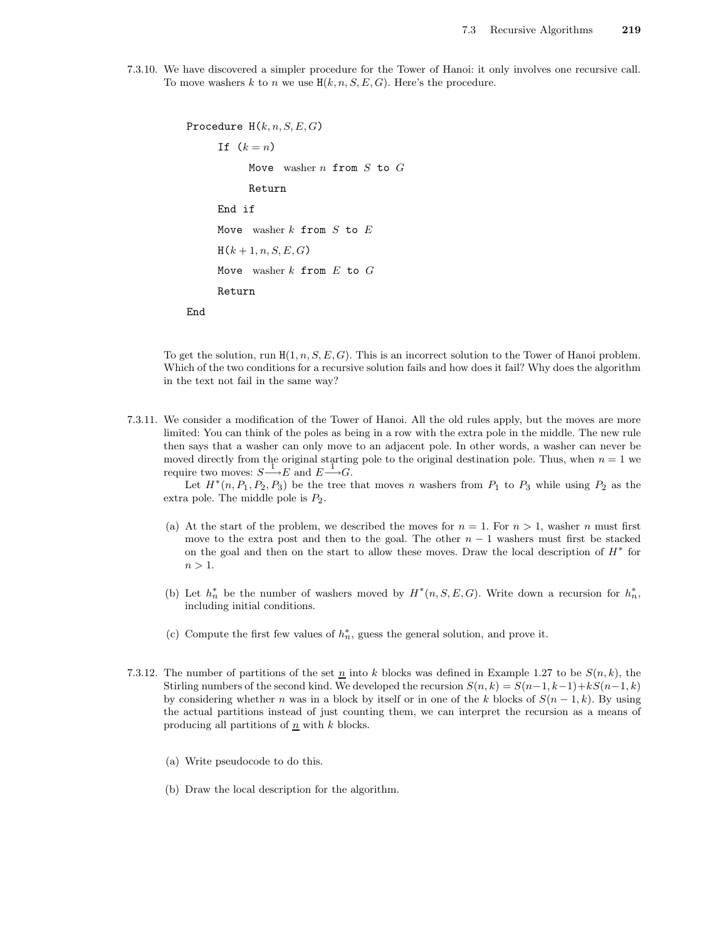7.3.10. We have discovered a simpler procedure for the Tower of Hanoi: it only involves one recursive call. To move washers k to n we use  $H(k, n, S, E, G)$ . Here's the procedure.

```
Procedure H(k, n, S, E, G)If (k = n)Move washer n from S to GReturn
     End if
     Move washer k from S to EH(k + 1, n, S, E, G)Move washer k from E to GReturn
End
```
To get the solution, run  $H(1, n, S, E, G)$ . This is an incorrect solution to the Tower of Hanoi problem. Which of the two conditions for a recursive solution fails and how does it fail? Why does the algorithm in the text not fail in the same way?

7.3.11. We consider a modification of the Tower of Hanoi. All the old rules apply, but the moves are more limited: You can think of the poles as being in a row with the extra pole in the middle. The new rule then says that a washer can only move to an adjacent pole. In other words, a washer can never be moved directly from the original starting pole to the original destination pole. Thus, when  $n = 1$  we require two moves:  $S \longrightarrow E$  and  $E \longrightarrow G$ .

Let  $H^*(n, P_1, P_2, P_3)$  be the tree that moves n washers from  $P_1$  to  $P_3$  while using  $P_2$  as the extra pole. The middle pole is  $P_2$ .

- (a) At the start of the problem, we described the moves for  $n = 1$ . For  $n > 1$ , washer n must first move to the extra post and then to the goal. The other  $n-1$  washers must first be stacked on the goal and then on the start to allow these moves. Draw the local description of  $H^*$  for  $n > 1$ .
- (b) Let  $h_n^*$  be the number of washers moved by  $H^*(n, S, E, G)$ . Write down a recursion for  $h_n^*$ , including initial conditions.
- (c) Compute the first few values of  $h_n^*$ , guess the general solution, and prove it.
- 7.3.12. The number of partitions of the set  $\underline{n}$  into k blocks was defined in Example 1.27 to be  $S(n, k)$ , the Stirling numbers of the second kind. We developed the recursion  $S(n, k) = S(n-1, k-1)+kS(n-1, k)$ by considering whether n was in a block by itself or in one of the k blocks of  $S(n-1,k)$ . By using the actual partitions instead of just counting them, we can interpret the recursion as a means of producing all partitions of  $\underline{n}$  with  $k$  blocks.
	- (a) Write pseudocode to do this.
	- (b) Draw the local description for the algorithm.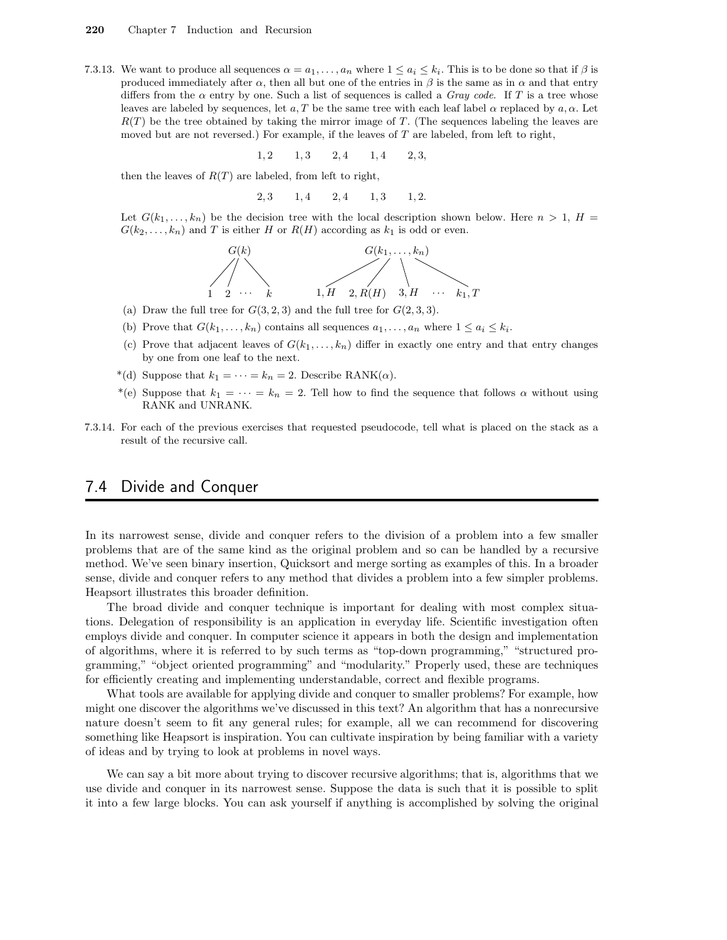7.3.13. We want to produce all sequences  $\alpha = a_1, \ldots, a_n$  where  $1 \le a_i \le k_i$ . This is to be done so that if  $\beta$  is produced immediately after  $\alpha$ , then all but one of the entries in  $\beta$  is the same as in  $\alpha$  and that entry differs from the  $\alpha$  entry by one. Such a list of sequences is called a *Gray code*. If T is a tree whose leaves are labeled by sequences, let a, T be the same tree with each leaf label  $\alpha$  replaced by  $a, \alpha$ . Let  $R(T)$  be the tree obtained by taking the mirror image of T. (The sequences labeling the leaves are moved but are not reversed.) For example, if the leaves of  $T$  are labeled, from left to right,

$$
1, 2 \qquad 1, 3 \qquad 2, 4 \qquad 1, 4 \qquad 2, 3,
$$

then the leaves of  $R(T)$  are labeled, from left to right,

$$
2,3 \qquad 1,4 \qquad 2,4 \qquad 1,3 \qquad 1,2.
$$

Let  $G(k_1, \ldots, k_n)$  be the decision tree with the local description shown below. Here  $n > 1$ ,  $H =$  $G(k_2, \ldots, k_n)$  and T is either H or  $R(H)$  according as  $k_1$  is odd or even.



- (a) Draw the full tree for  $G(3, 2, 3)$  and the full tree for  $G(2, 3, 3)$ .
- (b) Prove that  $G(k_1, \ldots, k_n)$  contains all sequences  $a_1, \ldots, a_n$  where  $1 \le a_i \le k_i$ .
- (c) Prove that adjacent leaves of  $G(k_1, \ldots, k_n)$  differ in exactly one entry and that entry changes by one from one leaf to the next.
- \*(d) Suppose that  $k_1 = \cdots = k_n = 2$ . Describe RANK( $\alpha$ ).
- \*(e) Suppose that  $k_1 = \cdots = k_n = 2$ . Tell how to find the sequence that follows  $\alpha$  without using RANK and UNRANK.
- 7.3.14. For each of the previous exercises that requested pseudocode, tell what is placed on the stack as a result of the recursive call.

## 7.4 Divide and Conquer

In its narrowest sense, divide and conquer refers to the division of a problem into a few smaller problems that are of the same kind as the original problem and so can be handled by a recursive method. We've seen binary insertion, Quicksort and merge sorting as examples of this. In a broader sense, divide and conquer refers to any method that divides a problem into a few simpler problems. Heapsort illustrates this broader definition.

The broad divide and conquer technique is important for dealing with most complex situations. Delegation of responsibility is an application in everyday life. Scientific investigation often employs divide and conquer. In computer science it appears in both the design and implementation of algorithms, where it is referred to by such terms as "top-down programming," "structured programming," "object oriented programming" and "modularity." Properly used, these are techniques for efficiently creating and implementing understandable, correct and flexible programs.

What tools are available for applying divide and conquer to smaller problems? For example, how might one discover the algorithms we've discussed in this text? An algorithm that has a nonrecursive nature doesn't seem to fit any general rules; for example, all we can recommend for discovering something like Heapsort is inspiration. You can cultivate inspiration by being familiar with a variety of ideas and by trying to look at problems in novel ways.

We can say a bit more about trying to discover recursive algorithms; that is, algorithms that we use divide and conquer in its narrowest sense. Suppose the data is such that it is possible to split it into a few large blocks. You can ask yourself if anything is accomplished by solving the original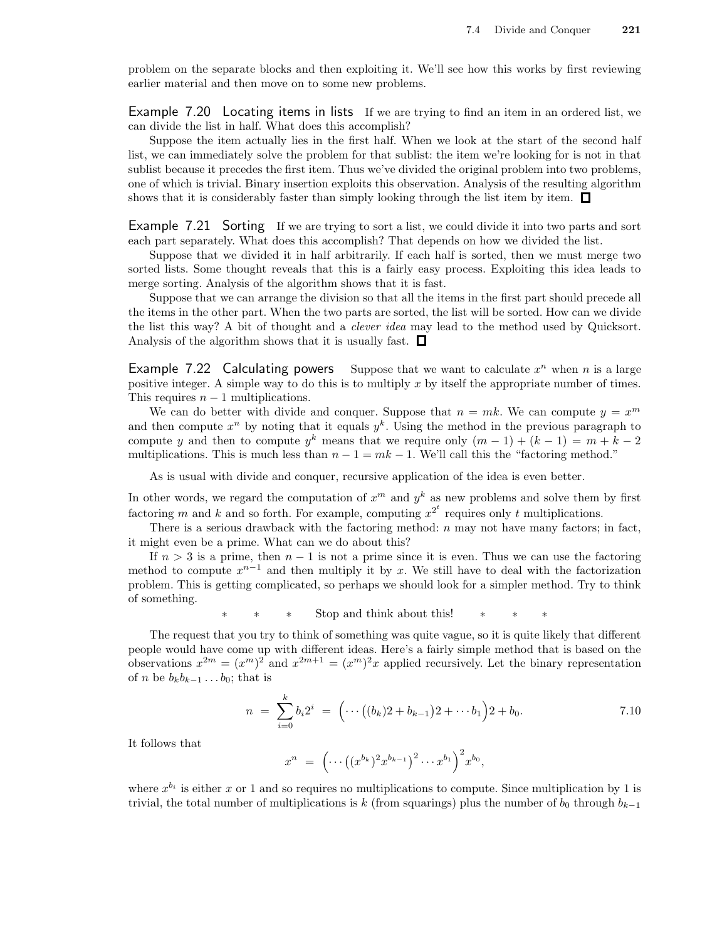problem on the separate blocks and then exploiting it. We'll see how this works by first reviewing earlier material and then move on to some new problems.

Example 7.20 Locating items in lists If we are trying to find an item in an ordered list, we can divide the list in half. What does this accomplish?

Suppose the item actually lies in the first half. When we look at the start of the second half list, we can immediately solve the problem for that sublist: the item we're looking for is not in that sublist because it precedes the first item. Thus we've divided the original problem into two problems, one of which is trivial. Binary insertion exploits this observation. Analysis of the resulting algorithm shows that it is considerably faster than simply looking through the list item by item.  $\Box$ 

Example 7.21 Sorting If we are trying to sort a list, we could divide it into two parts and sort each part separately. What does this accomplish? That depends on how we divided the list.

Suppose that we divided it in half arbitrarily. If each half is sorted, then we must merge two sorted lists. Some thought reveals that this is a fairly easy process. Exploiting this idea leads to merge sorting. Analysis of the algorithm shows that it is fast.

Suppose that we can arrange the division so that all the items in the first part should precede all the items in the other part. When the two parts are sorted, the list will be sorted. How can we divide the list this way? A bit of thought and a *clever idea* may lead to the method used by Quicksort. Analysis of the algorithm shows that it is usually fast.  $\Box$ 

Example 7.22 Calculating powers Suppose that we want to calculate  $x^n$  when n is a large positive integer. A simple way to do this is to multiply  $x$  by itself the appropriate number of times. This requires  $n-1$  multiplications.

We can do better with divide and conquer. Suppose that  $n = mk$ . We can compute  $y = x^m$ and then compute  $x^n$  by noting that it equals  $y^k$ . Using the method in the previous paragraph to compute y and then to compute y<sup>k</sup> means that we require only  $(m-1) + (k-1) = m + k - 2$ multiplications. This is much less than  $n - 1 = mk - 1$ . We'll call this the "factoring method."

As is usual with divide and conquer, recursive application of the idea is even better.

In other words, we regard the computation of  $x^m$  and  $y^k$  as new problems and solve them by first factoring m and k and so forth. For example, computing  $x^{2^t}$  requires only t multiplications.

There is a serious drawback with the factoring method:  $n$  may not have many factors; in fact, it might even be a prime. What can we do about this?

If  $n > 3$  is a prime, then  $n - 1$  is not a prime since it is even. Thus we can use the factoring method to compute  $x^{n-1}$  and then multiply it by x. We still have to deal with the factorization problem. This is getting complicated, so perhaps we should look for a simpler method. Try to think of something.

$$
\ast \qquad \ast \qquad \ast \qquad \text{Stop and think about this!} \qquad \ast \qquad \ast \qquad \ast
$$

The request that you try to think of something was quite vague, so it is quite likely that different people would have come up with different ideas. Here's a fairly simple method that is based on the observations  $x^{2m} = (x^m)^2$  and  $x^{2m+1} = (x^m)^2 x$  applied recursively. Let the binary representation of *n* be  $b_k b_{k-1} \ldots b_0$ ; that is

$$
n = \sum_{i=0}^{k} b_i 2^i = \left( \cdots \left( (b_k) 2 + b_{k-1} \right) 2 + \cdots b_1 \right) 2 + b_0.
$$
 7.10

It follows that

$$
x^n = \left( \cdots \left( (x^{b_k})^2 x^{b_{k-1}} \right)^2 \cdots x^{b_1} \right)^2 x^{b_0},
$$

where  $x^{b_i}$  is either x or 1 and so requires no multiplications to compute. Since multiplication by 1 is trivial, the total number of multiplications is k (from squarings) plus the number of  $b_0$  through  $b_{k-1}$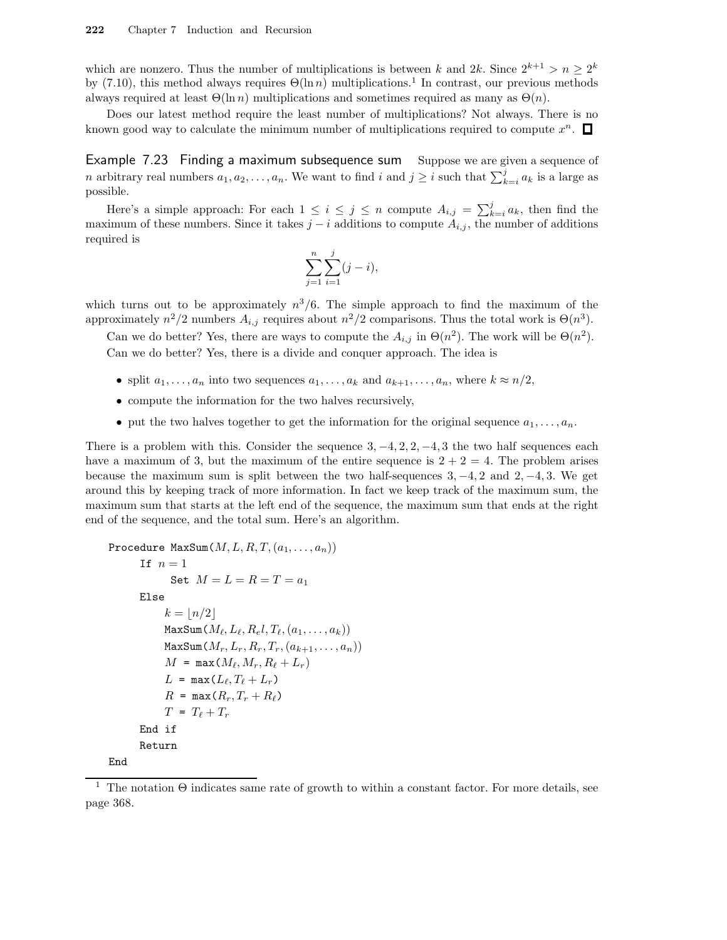which are nonzero. Thus the number of multiplications is between k and 2k. Since  $2^{k+1} > n \ge 2^k$ by (7.10), this method always requires  $\Theta(\ln n)$  multiplications.<sup>1</sup> In contrast, our previous methods always required at least  $\Theta(\ln n)$  multiplications and sometimes required as many as  $\Theta(n)$ .

Does our latest method require the least number of multiplications? Not always. There is no known good way to calculate the minimum number of multiplications required to compute  $x^n$ .

Example 7.23 Finding a maximum subsequence sum Suppose we are given a sequence of *n* arbitrary real numbers  $a_1, a_2, \ldots, a_n$ . We want to find i and  $j \geq i$  such that  $\sum_{k=i}^{j} a_k$  is a large as possible.

Here's a simple approach: For each  $1 \leq i \leq j \leq n$  compute  $A_{i,j} = \sum_{k=i}^{j} a_k$ , then find the maximum of these numbers. Since it takes  $j - i$  additions to compute  $A_{i,j}$ , the number of additions required is

$$
\sum_{j=1}^{n} \sum_{i=1}^{j} (j - i),
$$

which turns out to be approximately  $n^3/6$ . The simple approach to find the maximum of the approximately  $n^2/2$  numbers  $A_{i,j}$  requires about  $n^2/2$  comparisons. Thus the total work is  $\Theta(n^3)$ .

Can we do better? Yes, there are ways to compute the  $A_{i,j}$  in  $\Theta(n^2)$ . The work will be  $\Theta(n^2)$ . Can we do better? Yes, there is a divide and conquer approach. The idea is

- split  $a_1, \ldots, a_n$  into two sequences  $a_1, \ldots, a_k$  and  $a_{k+1}, \ldots, a_n$ , where  $k \approx n/2$ ,
- compute the information for the two halves recursively,
- put the two halves together to get the information for the original sequence  $a_1, \ldots, a_n$ .

There is a problem with this. Consider the sequence  $3, -4, 2, 2, -4, 3$  the two half sequences each have a maximum of 3, but the maximum of the entire sequence is  $2 + 2 = 4$ . The problem arises because the maximum sum is split between the two half-sequences  $3, -4, 2$  and  $2, -4, 3$ . We get around this by keeping track of more information. In fact we keep track of the maximum sum, the maximum sum that starts at the left end of the sequence, the maximum sum that ends at the right end of the sequence, and the total sum. Here's an algorithm.

```
Procedure MaxSum(M, L, R, T, (a_1, \ldots, a_n))If n=1Set M = L = R = T = a_1Else
             k = |n/2|MaxSum(M_{\ell}, L_{\ell}, R_{e}l, T_{\ell}, (a_1, \ldots, a_k))\text{MaxSum}(M_r, L_r, R_r, T_r, (a_{k+1}, \ldots, a_n))M = \max(M_\ell, M_r, R_\ell + L_r)L = \max(L_\ell, T_\ell + L_r)R = \max(R_r, T_r + R_\ell)T = T_{\ell} + T_rEnd if
       Return
End
```
<sup>&</sup>lt;sup>1</sup> The notation  $\Theta$  indicates same rate of growth to within a constant factor. For more details, see page 368.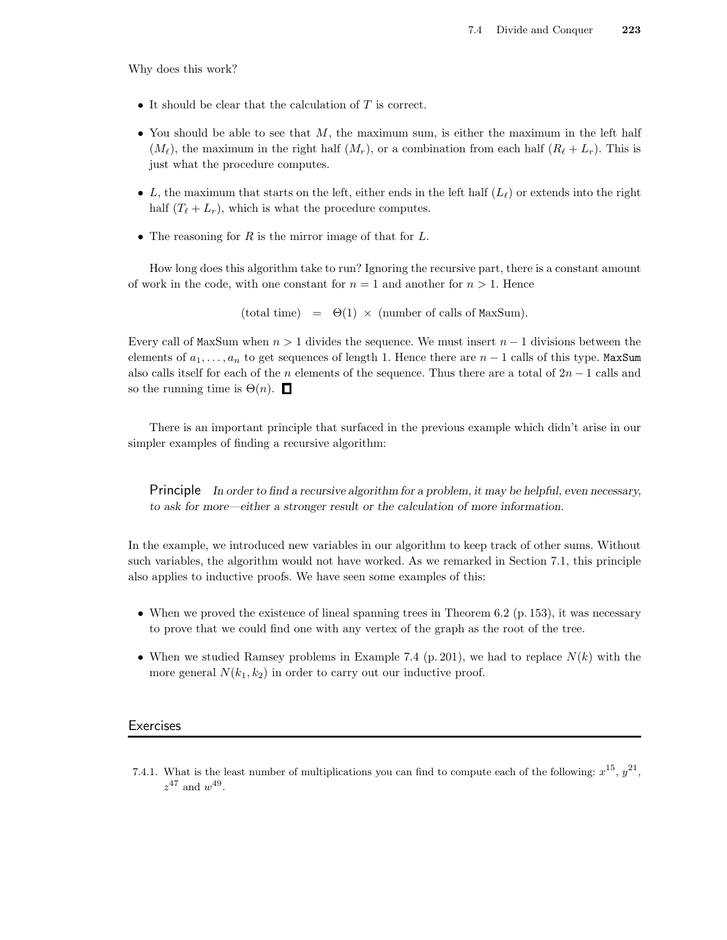Why does this work?

- It should be clear that the calculation of  $T$  is correct.
- You should be able to see that  $M$ , the maximum sum, is either the maximum in the left half  $(M_{\ell})$ , the maximum in the right half  $(M_r)$ , or a combination from each half  $(R_{\ell} + L_r)$ . This is just what the procedure computes.
- L, the maximum that starts on the left, either ends in the left half  $(L_\ell)$  or extends into the right half  $(T_{\ell} + L_r)$ , which is what the procedure computes.
- The reasoning for R is the mirror image of that for  $L$ .

How long does this algorithm take to run? Ignoring the recursive part, there is a constant amount of work in the code, with one constant for  $n = 1$  and another for  $n > 1$ . Hence

(total time) =  $\Theta(1) \times$  (number of calls of MaxSum).

Every call of MaxSum when  $n > 1$  divides the sequence. We must insert  $n - 1$  divisions between the elements of  $a_1, \ldots, a_n$  to get sequences of length 1. Hence there are  $n-1$  calls of this type. MaxSum also calls itself for each of the n elements of the sequence. Thus there are a total of  $2n-1$  calls and so the running time is  $\Theta(n)$ .  $\Box$ 

There is an important principle that surfaced in the previous example which didn't arise in our simpler examples of finding a recursive algorithm:

Principle In order to find a recursive algorithm for a problem, it may be helpful, even necessary, to ask for more—either a stronger result or the calculation of more information.

In the example, we introduced new variables in our algorithm to keep track of other sums. Without such variables, the algorithm would not have worked. As we remarked in Section 7.1, this principle also applies to inductive proofs. We have seen some examples of this:

- When we proved the existence of lineal spanning trees in Theorem 6.2 (p. 153), it was necessary to prove that we could find one with any vertex of the graph as the root of the tree.
- When we studied Ramsey problems in Example 7.4 (p. 201), we had to replace  $N(k)$  with the more general  $N(k_1, k_2)$  in order to carry out our inductive proof.

#### **Exercises**

7.4.1. What is the least number of multiplications you can find to compute each of the following:  $x^{15}$ ,  $y^{21}$ ,  $z^{47}$  and  $w^{49}$ .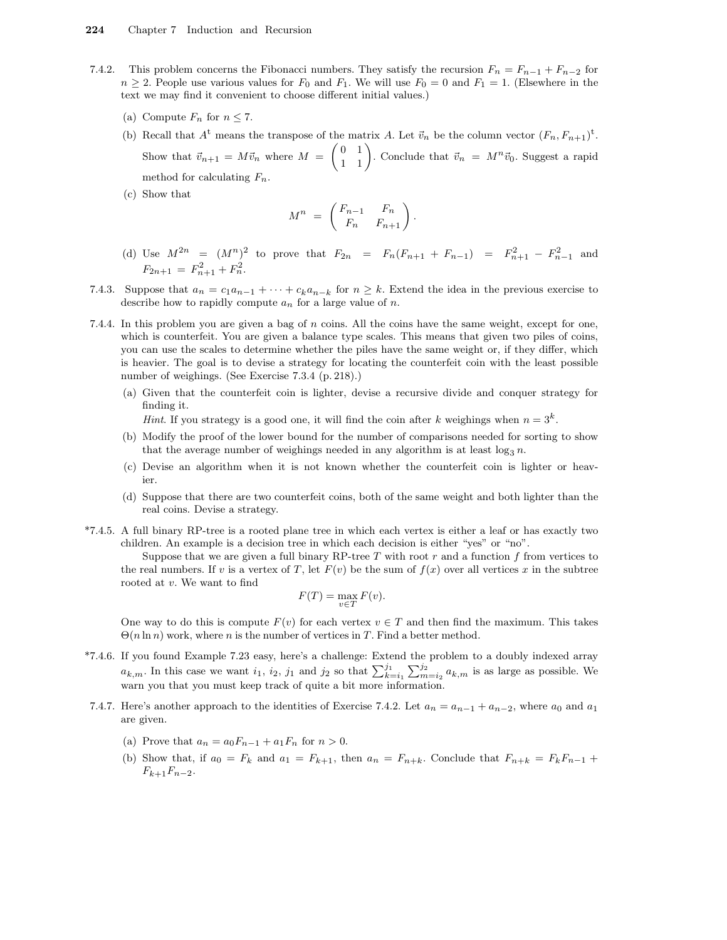- 7.4.2. This problem concerns the Fibonacci numbers. They satisfy the recursion  $F_n = F_{n-1} + F_{n-2}$  for  $n \geq 2$ . People use various values for  $F_0$  and  $F_1$ . We will use  $F_0 = 0$  and  $F_1 = 1$ . (Elsewhere in the text we may find it convenient to choose different initial values.)
	- (a) Compute  $F_n$  for  $n \leq 7$ .
	- (b) Recall that  $A^t$  means the transpose of the matrix A. Let  $\vec{v}_n$  be the column vector  $(F_n, F_{n+1})^t$ . Show that  $\vec{v}_{n+1} = M\vec{v}_n$  where  $M = \begin{pmatrix} 0 & 1 \\ 1 & 1 \end{pmatrix}$ . Conclude that  $\vec{v}_n = M^n\vec{v}_0$ . Suggest a rapid method for calculating  $F_n$ .
	- (c) Show that

$$
M^n = \begin{pmatrix} F_{n-1} & F_n \\ F_n & F_{n+1} \end{pmatrix}.
$$

- (d) Use  $M^{2n} = (M^n)^2$  to prove that  $F_{2n} = F_n(F_{n+1} + F_{n-1}) = F_{n+1}^2 F_{n-1}^2$  and  $F_{2n+1} = F_{n+1}^2 + F_n^2.$
- 7.4.3. Suppose that  $a_n = c_1 a_{n-1} + \cdots + c_k a_{n-k}$  for  $n \geq k$ . Extend the idea in the previous exercise to describe how to rapidly compute  $a_n$  for a large value of n.
- 7.4.4. In this problem you are given a bag of n coins. All the coins have the same weight, except for one, which is counterfeit. You are given a balance type scales. This means that given two piles of coins, you can use the scales to determine whether the piles have the same weight or, if they differ, which is heavier. The goal is to devise a strategy for locating the counterfeit coin with the least possible number of weighings. (See Exercise 7.3.4 (p. 218).)
	- (a) Given that the counterfeit coin is lighter, devise a recursive divide and conquer strategy for finding it.
		- *Hint*. If you strategy is a good one, it will find the coin after k weighings when  $n = 3<sup>k</sup>$ .
	- (b) Modify the proof of the lower bound for the number of comparisons needed for sorting to show that the average number of weighings needed in any algorithm is at least  $\log_3 n$ .
	- (c) Devise an algorithm when it is not known whether the counterfeit coin is lighter or heavier.
	- (d) Suppose that there are two counterfeit coins, both of the same weight and both lighter than the real coins. Devise a strategy.
- \*7.4.5. A full binary RP-tree is a rooted plane tree in which each vertex is either a leaf or has exactly two children. An example is a decision tree in which each decision is either "yes" or "no".

Suppose that we are given a full binary RP-tree T with root  $r$  and a function  $f$  from vertices to the real numbers. If v is a vertex of T, let  $F(v)$  be the sum of  $f(x)$  over all vertices x in the subtree rooted at v. We want to find

$$
F(T) = \max_{v \in T} F(v).
$$

One way to do this is compute  $F(v)$  for each vertex  $v \in T$  and then find the maximum. This takes  $\Theta(n \ln n)$  work, where n is the number of vertices in T. Find a better method.

- \*7.4.6. If you found Example 7.23 easy, here's a challenge: Extend the problem to a doubly indexed array  $a_{k,m}$ . In this case we want  $i_1$ ,  $i_2$ ,  $j_1$  and  $j_2$  so that  $\sum_{k=i_1}^{j_1} \sum_{m=i_2}^{j_2} a_{k,m}$  is as large as possible. We warn you that you must keep track of quite a bit more information.
- 7.4.7. Here's another approach to the identities of Exercise 7.4.2. Let  $a_n = a_{n-1} + a_{n-2}$ , where  $a_0$  and  $a_1$ are given.
	- (a) Prove that  $a_n = a_0 F_{n-1} + a_1 F_n$  for  $n > 0$ .
	- (b) Show that, if  $a_0 = F_k$  and  $a_1 = F_{k+1}$ , then  $a_n = F_{n+k}$ . Conclude that  $F_{n+k} = F_k F_{n-1}$  +  $F_{k+1}F_{n-2}$ .